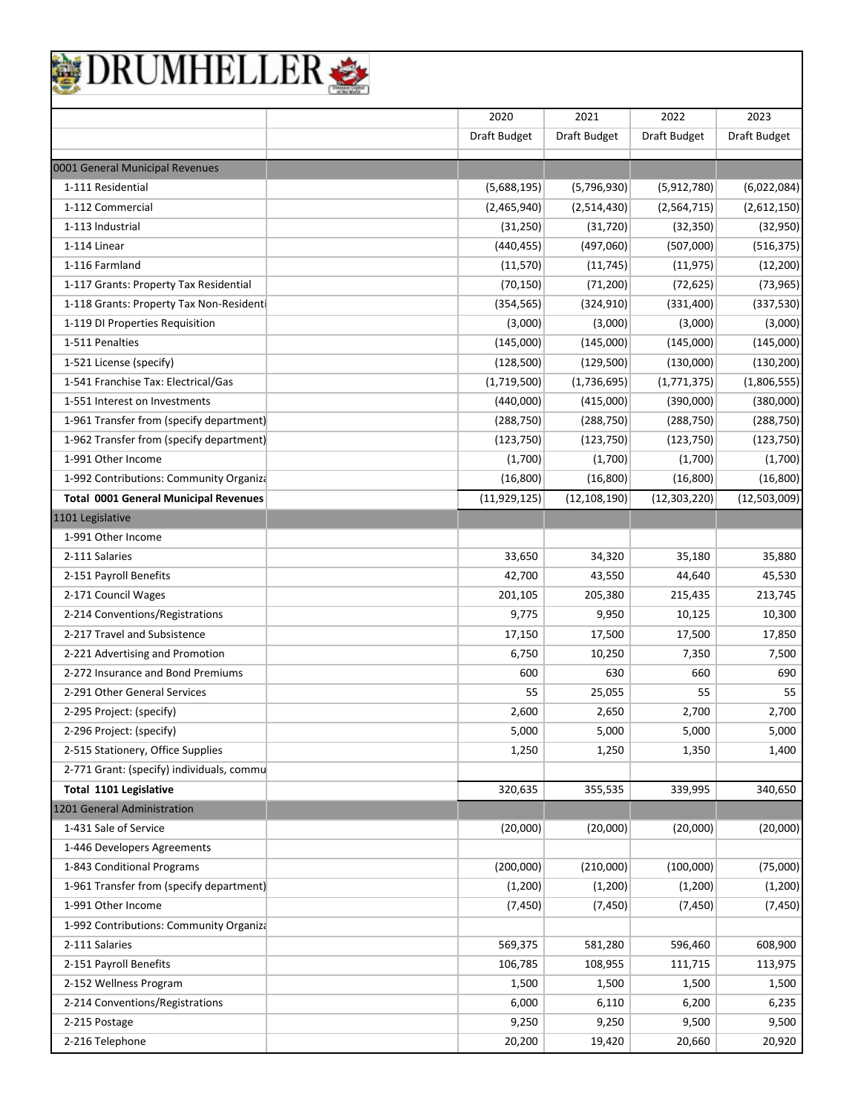| BRUMHELLER |
|------------|
|------------|

|                                              | 2020           | 2021           | 2022           | 2023         |
|----------------------------------------------|----------------|----------------|----------------|--------------|
|                                              | Draft Budget   | Draft Budget   | Draft Budget   | Draft Budget |
| 0001 General Municipal Revenues              |                |                |                |              |
| 1-111 Residential                            | (5,688,195)    | (5,796,930)    | (5,912,780)    | (6,022,084)  |
| 1-112 Commercial                             | (2,465,940)    | (2,514,430)    | (2, 564, 715)  | (2,612,150)  |
| 1-113 Industrial                             | (31, 250)      | (31, 720)      | (32, 350)      | (32,950)     |
| 1-114 Linear                                 | (440, 455)     | (497,060)      | (507,000)      | (516, 375)   |
| 1-116 Farmland                               | (11, 570)      | (11, 745)      | (11, 975)      | (12, 200)    |
| 1-117 Grants: Property Tax Residential       | (70, 150)      | (71, 200)      | (72, 625)      | (73, 965)    |
| 1-118 Grants: Property Tax Non-Residenti     | (354, 565)     | (324, 910)     | (331, 400)     | (337,530)    |
| 1-119 DI Properties Requisition              | (3,000)        | (3,000)        | (3,000)        | (3,000)      |
| 1-511 Penalties                              | (145,000)      | (145,000)      | (145,000)      | (145,000)    |
| 1-521 License (specify)                      | (128, 500)     | (129, 500)     | (130,000)      | (130, 200)   |
| 1-541 Franchise Tax: Electrical/Gas          | (1,719,500)    | (1,736,695)    | (1,771,375)    | (1,806,555)  |
| 1-551 Interest on Investments                | (440,000)      | (415,000)      | (390,000)      | (380,000)    |
| 1-961 Transfer from (specify department)     | (288, 750)     | (288, 750)     | (288, 750)     | (288, 750)   |
| 1-962 Transfer from (specify department)     | (123, 750)     | (123, 750)     | (123, 750)     | (123, 750)   |
| 1-991 Other Income                           | (1,700)        | (1,700)        | (1,700)        | (1,700)      |
| 1-992 Contributions: Community Organiza      | (16, 800)      | (16, 800)      | (16, 800)      | (16, 800)    |
| <b>Total 0001 General Municipal Revenues</b> | (11, 929, 125) | (12, 108, 190) | (12, 303, 220) | (12,503,009) |
| 1101 Legislative                             |                |                |                |              |
| 1-991 Other Income                           |                |                |                |              |
| 2-111 Salaries                               | 33,650         | 34,320         | 35,180         | 35,880       |
| 2-151 Payroll Benefits                       | 42,700         | 43,550         | 44,640         | 45,530       |
| 2-171 Council Wages                          | 201,105        | 205,380        | 215,435        | 213,745      |
| 2-214 Conventions/Registrations              | 9,775          | 9,950          | 10,125         | 10,300       |
| 2-217 Travel and Subsistence                 | 17,150         | 17,500         | 17,500         | 17,850       |
| 2-221 Advertising and Promotion              | 6,750          | 10,250         | 7,350          | 7,500        |
| 2-272 Insurance and Bond Premiums            | 600            | 630            | 660            | 690          |
| 2-291 Other General Services                 | 55             | 25,055         | 55             | 55           |
| 2-295 Project: (specify)                     | 2,600          | 2,650          | 2,700          | 2,700        |
| 2-296 Project: (specify)                     | 5,000          | 5,000          | 5,000          | 5,000        |
| 2-515 Stationery, Office Supplies            | 1,250          | 1,250          | 1,350          | 1,400        |
| 2-771 Grant: (specify) individuals, commu    |                |                |                |              |
| Total 1101 Legislative                       | 320,635        | 355,535        | 339,995        | 340,650      |
| 1201 General Administration                  |                |                |                |              |
| 1-431 Sale of Service                        | (20,000)       | (20,000)       | (20,000)       | (20,000)     |
| 1-446 Developers Agreements                  |                |                |                |              |
| 1-843 Conditional Programs                   | (200,000)      | (210,000)      | (100,000)      | (75,000)     |
| 1-961 Transfer from (specify department)     | (1, 200)       | (1,200)        | (1,200)        | (1,200)      |
| 1-991 Other Income                           | (7, 450)       | (7, 450)       | (7, 450)       | (7, 450)     |
| 1-992 Contributions: Community Organiza      |                |                |                |              |
| 2-111 Salaries                               | 569,375        | 581,280        | 596,460        | 608,900      |
| 2-151 Payroll Benefits                       | 106,785        | 108,955        | 111,715        | 113,975      |
| 2-152 Wellness Program                       | 1,500          | 1,500          | 1,500          | 1,500        |
| 2-214 Conventions/Registrations              | 6,000          | 6,110          | 6,200          | 6,235        |
| 2-215 Postage                                | 9,250          | 9,250          | 9,500          | 9,500        |
| 2-216 Telephone                              | 20,200         | 19,420         | 20,660         | 20,920       |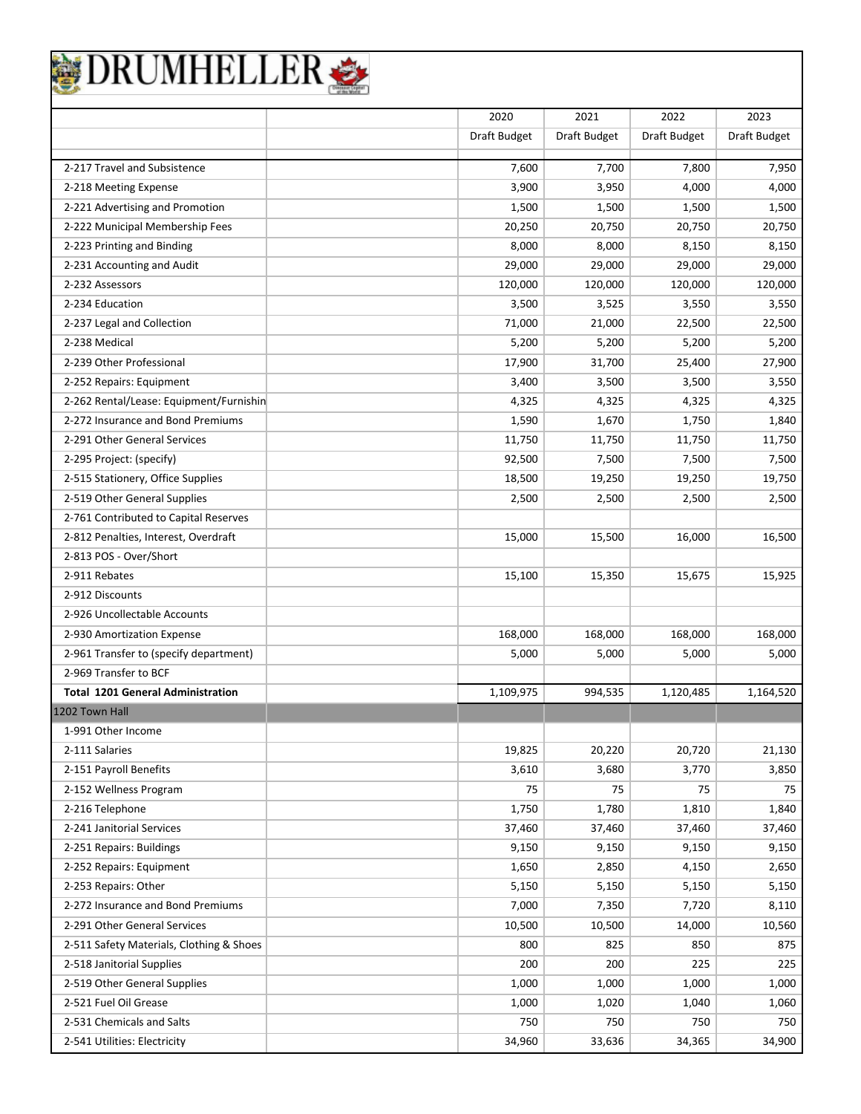|                                          | 2020         | 2021         | 2022         | 2023         |
|------------------------------------------|--------------|--------------|--------------|--------------|
|                                          | Draft Budget | Draft Budget | Draft Budget | Draft Budget |
| 2-217 Travel and Subsistence             | 7,600        | 7,700        | 7,800        | 7,950        |
| 2-218 Meeting Expense                    | 3,900        | 3,950        | 4,000        | 4,000        |
| 2-221 Advertising and Promotion          | 1,500        | 1,500        | 1,500        | 1,500        |
| 2-222 Municipal Membership Fees          | 20,250       | 20,750       | 20,750       | 20,750       |
| 2-223 Printing and Binding               | 8,000        | 8,000        | 8,150        | 8,150        |
| 2-231 Accounting and Audit               | 29,000       | 29,000       | 29,000       | 29,000       |
| 2-232 Assessors                          | 120,000      | 120,000      | 120,000      | 120,000      |
| 2-234 Education                          | 3,500        | 3,525        | 3,550        | 3,550        |
| 2-237 Legal and Collection               | 71,000       | 21,000       | 22,500       | 22,500       |
| 2-238 Medical                            | 5,200        | 5,200        | 5,200        | 5,200        |
| 2-239 Other Professional                 | 17,900       | 31,700       | 25,400       | 27,900       |
| 2-252 Repairs: Equipment                 | 3,400        | 3,500        | 3,500        | 3,550        |
| 2-262 Rental/Lease: Equipment/Furnishin  | 4,325        | 4,325        | 4,325        | 4,325        |
| 2-272 Insurance and Bond Premiums        | 1,590        | 1,670        | 1,750        | 1,840        |
| 2-291 Other General Services             | 11,750       | 11,750       | 11,750       | 11,750       |
| 2-295 Project: (specify)                 | 92,500       | 7,500        | 7,500        | 7,500        |
| 2-515 Stationery, Office Supplies        | 18,500       | 19,250       | 19,250       | 19,750       |
| 2-519 Other General Supplies             | 2,500        | 2,500        | 2,500        | 2,500        |
| 2-761 Contributed to Capital Reserves    |              |              |              |              |
| 2-812 Penalties, Interest, Overdraft     | 15,000       | 15,500       | 16,000       | 16,500       |
| 2-813 POS - Over/Short                   |              |              |              |              |
| 2-911 Rebates                            | 15,100       | 15,350       | 15,675       | 15,925       |
| 2-912 Discounts                          |              |              |              |              |
| 2-926 Uncollectable Accounts             |              |              |              |              |
| 2-930 Amortization Expense               | 168,000      | 168,000      | 168,000      | 168,000      |
| 2-961 Transfer to (specify department)   | 5,000        | 5,000        | 5,000        | 5,000        |
| 2-969 Transfer to BCF                    |              |              |              |              |
| <b>Total 1201 General Administration</b> | 1,109,975    | 994,535      | 1,120,485    | 1,164,520    |
| 1202 Town Hall                           |              |              |              |              |
| 1-991 Other Income                       |              |              |              |              |
| 2-111 Salaries                           | 19,825       | 20,220       | 20,720       | 21,130       |
| 2-151 Payroll Benefits                   | 3,610        | 3,680        | 3,770        | 3,850        |
| 2-152 Wellness Program                   | 75           | 75           | 75           | 75           |
| 2-216 Telephone                          | 1,750        | 1,780        | 1,810        | 1,840        |
| 2-241 Janitorial Services                | 37,460       | 37,460       | 37,460       | 37,460       |
| 2-251 Repairs: Buildings                 | 9,150        | 9,150        | 9,150        | 9,150        |
| 2-252 Repairs: Equipment                 | 1,650        | 2,850        | 4,150        | 2,650        |
| 2-253 Repairs: Other                     | 5,150        | 5,150        | 5,150        | 5,150        |
| 2-272 Insurance and Bond Premiums        | 7,000        | 7,350        | 7,720        | 8,110        |
| 2-291 Other General Services             | 10,500       | 10,500       | 14,000       | 10,560       |
| 2-511 Safety Materials, Clothing & Shoes | 800          | 825          | 850          | 875          |
| 2-518 Janitorial Supplies                | 200          | 200          | 225          | 225          |
| 2-519 Other General Supplies             | 1,000        | 1,000        | 1,000        | 1,000        |
| 2-521 Fuel Oil Grease                    | 1,000        | 1,020        | 1,040        | 1,060        |
| 2-531 Chemicals and Salts                | 750          | 750          | 750          | 750          |
| 2-541 Utilities: Electricity             | 34,960       | 33,636       | 34,365       | 34,900       |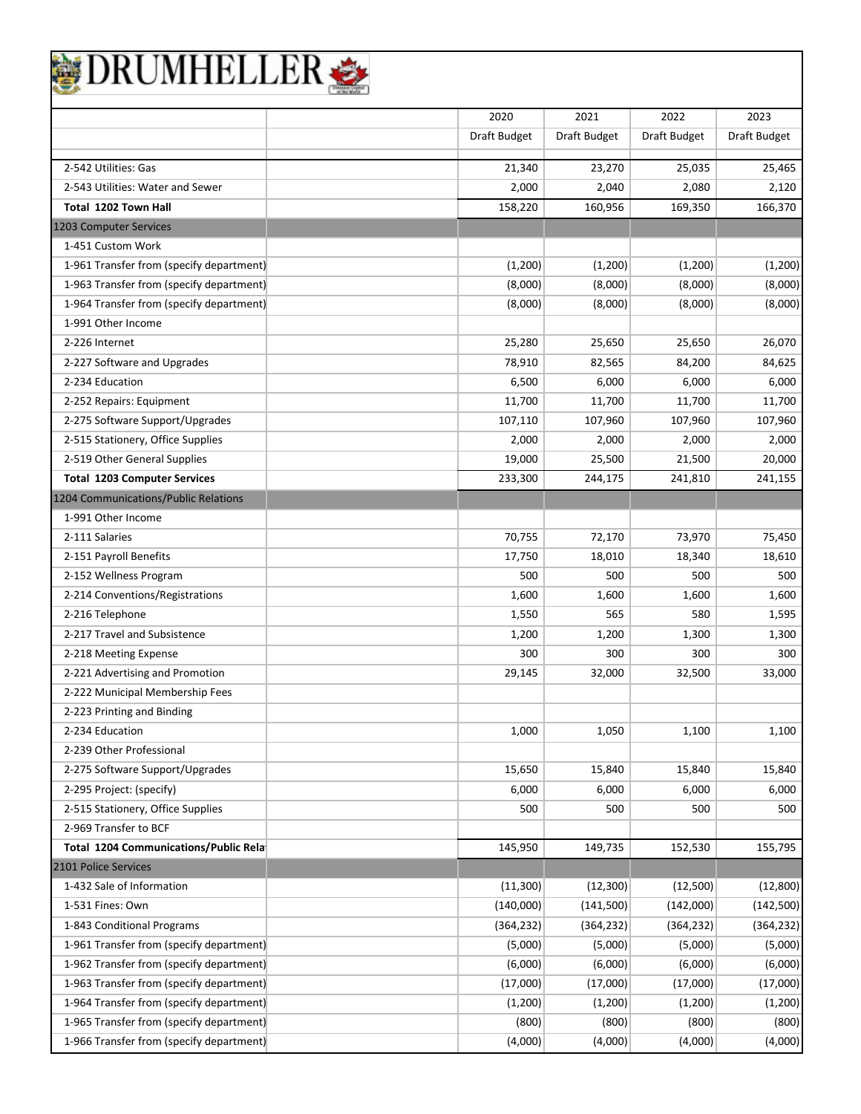|                                             | 2020         | 2021         | 2022         | 2023         |
|---------------------------------------------|--------------|--------------|--------------|--------------|
|                                             | Draft Budget | Draft Budget | Draft Budget | Draft Budget |
| 2-542 Utilities: Gas                        |              |              |              |              |
|                                             | 21,340       | 23,270       | 25,035       | 25,465       |
| 2-543 Utilities: Water and Sewer            | 2,000        | 2,040        | 2,080        | 2,120        |
| Total 1202 Town Hall                        | 158,220      | 160,956      | 169,350      | 166,370      |
| 1203 Computer Services<br>1-451 Custom Work |              |              |              |              |
|                                             |              |              |              |              |
| 1-961 Transfer from (specify department)    | (1,200)      | (1,200)      | (1,200)      | (1,200)      |
| 1-963 Transfer from (specify department)    | (8,000)      | (8,000)      | (8,000)      | (8,000)      |
| 1-964 Transfer from (specify department)    | (8,000)      | (8,000)      | (8,000)      | (8,000)      |
| 1-991 Other Income                          |              |              |              |              |
| 2-226 Internet                              | 25,280       | 25,650       | 25,650       | 26,070       |
| 2-227 Software and Upgrades                 | 78,910       | 82,565       | 84,200       | 84,625       |
| 2-234 Education                             | 6,500        | 6,000        | 6,000        | 6,000        |
| 2-252 Repairs: Equipment                    | 11,700       | 11,700       | 11,700       | 11,700       |
| 2-275 Software Support/Upgrades             | 107,110      | 107,960      | 107,960      | 107,960      |
| 2-515 Stationery, Office Supplies           | 2,000        | 2,000        | 2,000        | 2,000        |
| 2-519 Other General Supplies                | 19,000       | 25,500       | 21,500       | 20,000       |
| <b>Total 1203 Computer Services</b>         | 233,300      | 244,175      | 241,810      | 241,155      |
| 1204 Communications/Public Relations        |              |              |              |              |
| 1-991 Other Income                          |              |              |              |              |
| 2-111 Salaries                              | 70,755       | 72,170       | 73,970       | 75,450       |
| 2-151 Payroll Benefits                      | 17,750       | 18,010       | 18,340       | 18,610       |
| 2-152 Wellness Program                      | 500          | 500          | 500          | 500          |
| 2-214 Conventions/Registrations             | 1,600        | 1,600        | 1,600        | 1,600        |
| 2-216 Telephone                             | 1,550        | 565          | 580          | 1,595        |
| 2-217 Travel and Subsistence                | 1,200        | 1,200        | 1,300        | 1,300        |
| 2-218 Meeting Expense                       | 300          | 300          | 300          | 300          |
| 2-221 Advertising and Promotion             | 29,145       | 32,000       | 32,500       | 33,000       |
| 2-222 Municipal Membership Fees             |              |              |              |              |
| 2-223 Printing and Binding                  |              |              |              |              |
| 2-234 Education                             | 1,000        | 1,050        | 1,100        | 1,100        |
| 2-239 Other Professional                    |              |              |              |              |
| 2-275 Software Support/Upgrades             | 15,650       | 15,840       | 15,840       | 15,840       |
| 2-295 Project: (specify)                    | 6,000        | 6,000        | 6,000        | 6,000        |
| 2-515 Stationery, Office Supplies           | 500          | 500          | 500          | 500          |
| 2-969 Transfer to BCF                       |              |              |              |              |
| Total 1204 Communications/Public Rela       | 145,950      | 149,735      | 152,530      | 155,795      |
| 2101 Police Services                        |              |              |              |              |
| 1-432 Sale of Information                   | (11, 300)    | (12, 300)    | (12,500)     | (12,800)     |
| 1-531 Fines: Own                            | (140,000)    | (141,500)    | (142,000)    | (142, 500)   |
| 1-843 Conditional Programs                  | (364, 232)   | (364, 232)   | (364, 232)   | (364, 232)   |
| 1-961 Transfer from (specify department)    | (5,000)      | (5,000)      | (5,000)      | (5,000)      |
| 1-962 Transfer from (specify department)    | (6,000)      | (6,000)      | (6,000)      | (6,000)      |
| 1-963 Transfer from (specify department)    | (17,000)     | (17,000)     | (17,000)     | (17,000)     |
| 1-964 Transfer from (specify department)    | (1,200)      | (1,200)      | (1,200)      | (1,200)      |
| 1-965 Transfer from (specify department)    | (800)        | (800)        | (800)        | (800)        |
| 1-966 Transfer from (specify department)    | (4,000)      | (4,000)      | (4,000)      | (4,000)      |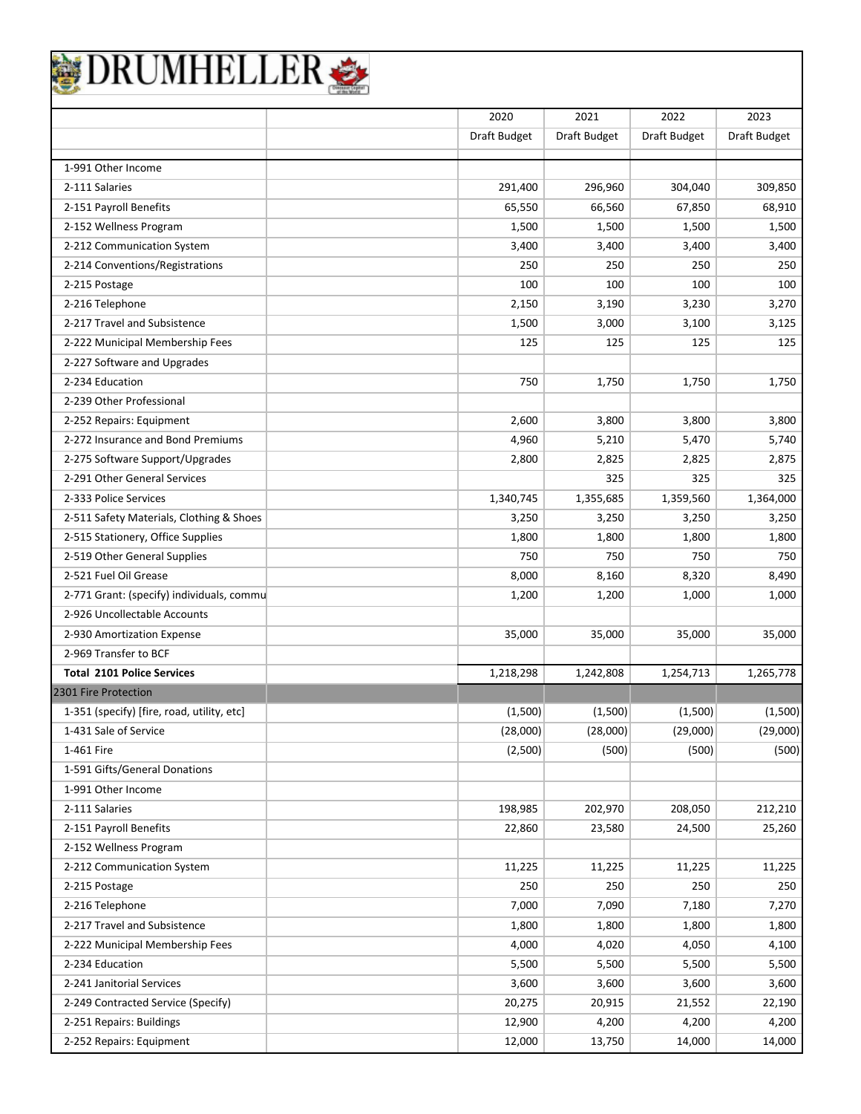|                                            | 2020         | 2021            | 2022            | 2023            |
|--------------------------------------------|--------------|-----------------|-----------------|-----------------|
|                                            | Draft Budget | Draft Budget    | Draft Budget    | Draft Budget    |
| 1-991 Other Income                         |              |                 |                 |                 |
| 2-111 Salaries                             | 291,400      | 296,960         | 304,040         | 309,850         |
| 2-151 Payroll Benefits                     | 65,550       | 66,560          | 67,850          | 68,910          |
| 2-152 Wellness Program                     | 1,500        | 1,500           | 1,500           | 1,500           |
| 2-212 Communication System                 | 3,400        | 3,400           | 3,400           | 3,400           |
| 2-214 Conventions/Registrations            | 250          | 250             | 250             | 250             |
| 2-215 Postage                              | 100          | 100             | 100             | 100             |
| 2-216 Telephone                            | 2,150        | 3,190           | 3,230           | 3,270           |
| 2-217 Travel and Subsistence               | 1,500        | 3,000           | 3,100           | 3,125           |
| 2-222 Municipal Membership Fees            | 125          | 125             | 125             | 125             |
| 2-227 Software and Upgrades                |              |                 |                 |                 |
| 2-234 Education                            | 750          | 1,750           | 1,750           | 1,750           |
| 2-239 Other Professional                   |              |                 |                 |                 |
| 2-252 Repairs: Equipment                   | 2,600        | 3,800           | 3,800           | 3,800           |
| 2-272 Insurance and Bond Premiums          | 4,960        | 5,210           | 5,470           | 5,740           |
| 2-275 Software Support/Upgrades            | 2,800        | 2,825           | 2,825           | 2,875           |
| 2-291 Other General Services               |              | 325             | 325             | 325             |
| 2-333 Police Services                      | 1,340,745    | 1,355,685       | 1,359,560       | 1,364,000       |
| 2-511 Safety Materials, Clothing & Shoes   | 3,250        | 3,250           | 3,250           | 3,250           |
| 2-515 Stationery, Office Supplies          | 1,800        | 1,800           | 1,800           | 1,800           |
| 2-519 Other General Supplies               | 750          | 750             | 750             | 750             |
| 2-521 Fuel Oil Grease                      | 8,000        | 8,160           | 8,320           | 8,490           |
| 2-771 Grant: (specify) individuals, commu  | 1,200        | 1,200           | 1,000           | 1,000           |
| 2-926 Uncollectable Accounts               |              |                 |                 |                 |
| 2-930 Amortization Expense                 | 35,000       | 35,000          | 35,000          | 35,000          |
| 2-969 Transfer to BCF                      |              |                 |                 |                 |
| <b>Total 2101 Police Services</b>          | 1,218,298    | 1,242,808       | 1,254,713       | 1,265,778       |
| 2301 Fire Protection                       |              |                 |                 |                 |
| 1-351 (specify) [fire, road, utility, etc] | (1,500)      | (1,500)         | (1,500)         | (1,500)         |
| 1-431 Sale of Service                      | (28,000)     | (28,000)        | (29,000)        | (29,000)        |
| 1-461 Fire                                 | (2,500)      | (500)           | (500)           | (500)           |
| 1-591 Gifts/General Donations              |              |                 |                 |                 |
| 1-991 Other Income                         |              |                 |                 |                 |
| 2-111 Salaries                             | 198,985      | 202,970         | 208,050         | 212,210         |
| 2-151 Payroll Benefits                     | 22,860       | 23,580          | 24,500          | 25,260          |
| 2-152 Wellness Program                     |              |                 |                 |                 |
| 2-212 Communication System                 | 11,225       | 11,225          | 11,225          | 11,225          |
|                                            | 250          | 250             | 250             | 250             |
| 2-215 Postage<br>2-216 Telephone           | 7,000        | 7,090           |                 |                 |
| 2-217 Travel and Subsistence               | 1,800        | 1,800           | 7,180           | 7,270           |
|                                            |              |                 | 1,800           | 1,800           |
| 2-222 Municipal Membership Fees            | 4,000        | 4,020           | 4,050           | 4,100           |
| 2-234 Education                            | 5,500        | 5,500           | 5,500           | 5,500           |
| 2-241 Janitorial Services                  | 3,600        | 3,600           | 3,600           | 3,600           |
| 2-249 Contracted Service (Specify)         | 20,275       | 20,915<br>4,200 | 21,552<br>4,200 | 22,190<br>4,200 |
| 2-251 Repairs: Buildings                   | 12,900       |                 |                 |                 |

2-252 Repairs: Equipment 14,000 13,750 14,000 14,000 14,000 14,000 14,000 14,000 14,000 14,000 14,000 14,000 1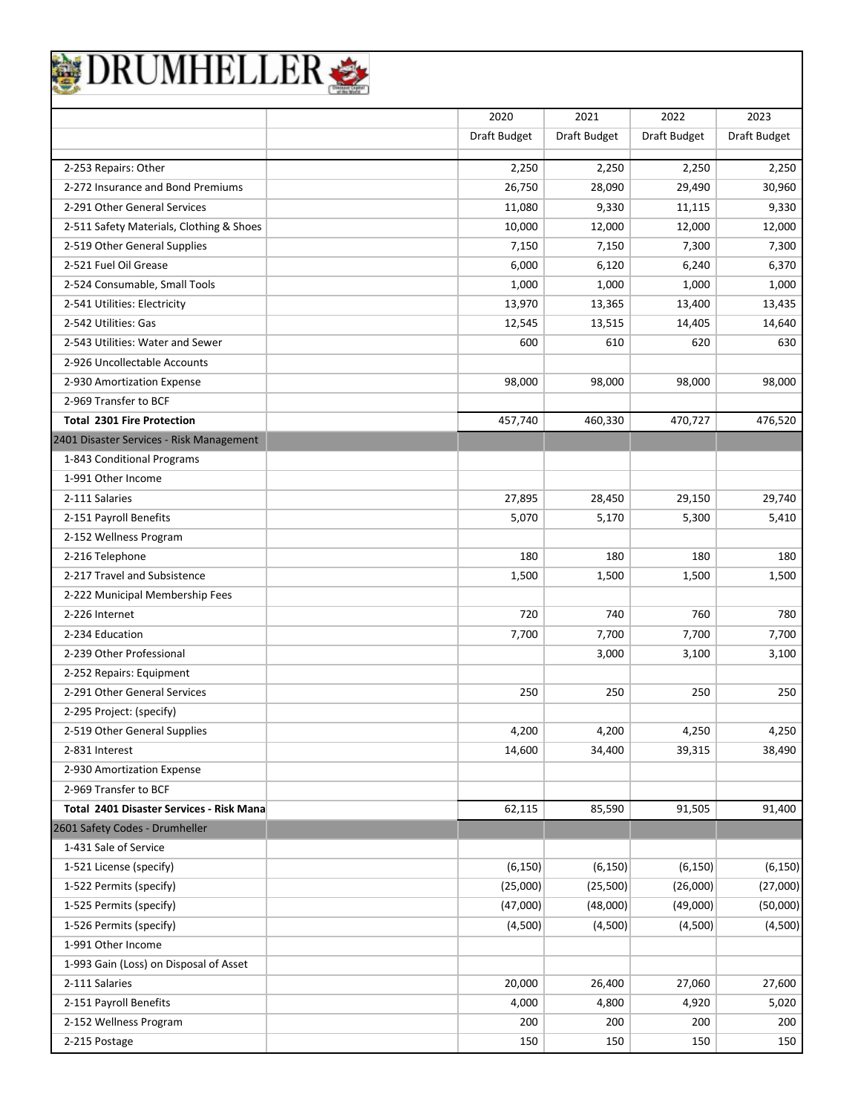| JRUMHELLEI                               |              |              |              |              |
|------------------------------------------|--------------|--------------|--------------|--------------|
|                                          | 2020         | 2021         | 2022         | 2023         |
|                                          | Draft Budget | Draft Budget | Draft Budget | Draft Budget |
| 2-253 Repairs: Other                     | 2,250        | 2,250        | 2,250        | 2,250        |
| 2-272 Insurance and Bond Premiums        | 26,750       | 28,090       | 29,490       | 30,960       |
| 2-291 Other General Services             | 11,080       | 9,330        | 11,115       | 9,330        |
| 2-511 Safety Materials, Clothing & Shoes | 10,000       | 12,000       | 12,000       | 12,000       |
| 2-519 Other General Supplies             | 7,150        | 7,150        | 7,300        | 7,300        |
| 2-521 Fuel Oil Grease                    | 6,000        | 6,120        | 6,240        | 6,370        |
| 2-524 Consumable, Small Tools            | 1,000        | 1,000        | 1,000        | 1,000        |
| 2-541 Utilities: Electricity             | 13,970       | 13,365       | 13,400       | 13,435       |
| 2-542 Utilities: Gas                     | 12,545       | 13,515       | 14,405       | 14,640       |
| 2-543 Utilities: Water and Sewer         | 600          | 610          | 620          | 630          |
| 2-926 Uncollectable Accounts             |              |              |              |              |
| 2-930 Amortization Expense               | 98,000       | 98,000       | 98,000       | 98,000       |
| 2-969 Transfer to BCF                    |              |              |              |              |
| <b>Total 2301 Fire Protection</b>        | 457,740      | 460,330      | 470,727      | 476,520      |
| 2401 Disaster Services - Risk Management |              |              |              |              |
| 1-843 Conditional Programs               |              |              |              |              |
| 1-991 Other Income                       |              |              |              |              |
| 2-111 Salaries                           | 27,895       | 28,450       | 29,150       | 29,740       |
| 2-151 Payroll Benefits                   | 5,070        | 5,170        | 5,300        | 5,410        |
| 2-152 Wellness Program                   |              |              |              |              |
| 2-216 Telephone                          | 180          | 180          | 180          | 180          |
| 2-217 Travel and Subsistence             | 1,500        | 1,500        | 1,500        | 1,500        |
| 2-222 Municipal Membership Fees          |              |              |              |              |
| 2-226 Internet                           | 720          | 740          | 760          | 780          |
| 2-234 Education                          | 7,700        | 7,700        | 7,700        | 7,700        |
| 2-239 Other Professional                 |              | 3,000        | 3,100        | 3,100        |
| 2-252 Repairs: Equipment                 |              |              |              |              |
| 2-291 Other General Services             | 250          | 250          | 250          | 250          |
| 2-295 Project: (specify)                 |              |              |              |              |
| 2-519 Other General Supplies             | 4,200        | 4,200        | 4,250        | 4,250        |
| 2-831 Interest                           | 14,600       | 34,400       | 39,315       | 38,490       |
| 2-930 Amortization Expense               |              |              |              |              |
| 2-969 Transfer to BCF                    |              |              |              |              |
| Total 2401 Disaster Services - Risk Mana | 62,115       | 85,590       | 91,505       | 91,400       |
| 2601 Safety Codes - Drumheller           |              |              |              |              |
| 1-431 Sale of Service                    |              |              |              |              |
| 1-521 License (specify)                  | (6, 150)     | (6, 150)     | (6, 150)     | (6, 150)     |
| 1-522 Permits (specify)                  | (25,000)     | (25,500)     | (26,000)     | (27,000)     |
| 1-525 Permits (specify)                  | (47,000)     | (48,000)     | (49,000)     | (50,000)     |
| 1-526 Permits (specify)                  | (4,500)      | (4,500)      | (4,500)      | (4,500)      |
| 1-991 Other Income                       |              |              |              |              |
| 1-993 Gain (Loss) on Disposal of Asset   |              |              |              |              |
| 2-111 Salaries                           | 20,000       | 26,400       | 27,060       | 27,600       |
| 2-151 Payroll Benefits                   | 4,000        | 4,800        | 4,920        | 5,020        |
| 2-152 Wellness Program                   | 200          | 200          | 200          | 200          |
| 2-215 Postage                            | 150          | 150          | 150          | 150          |

⅂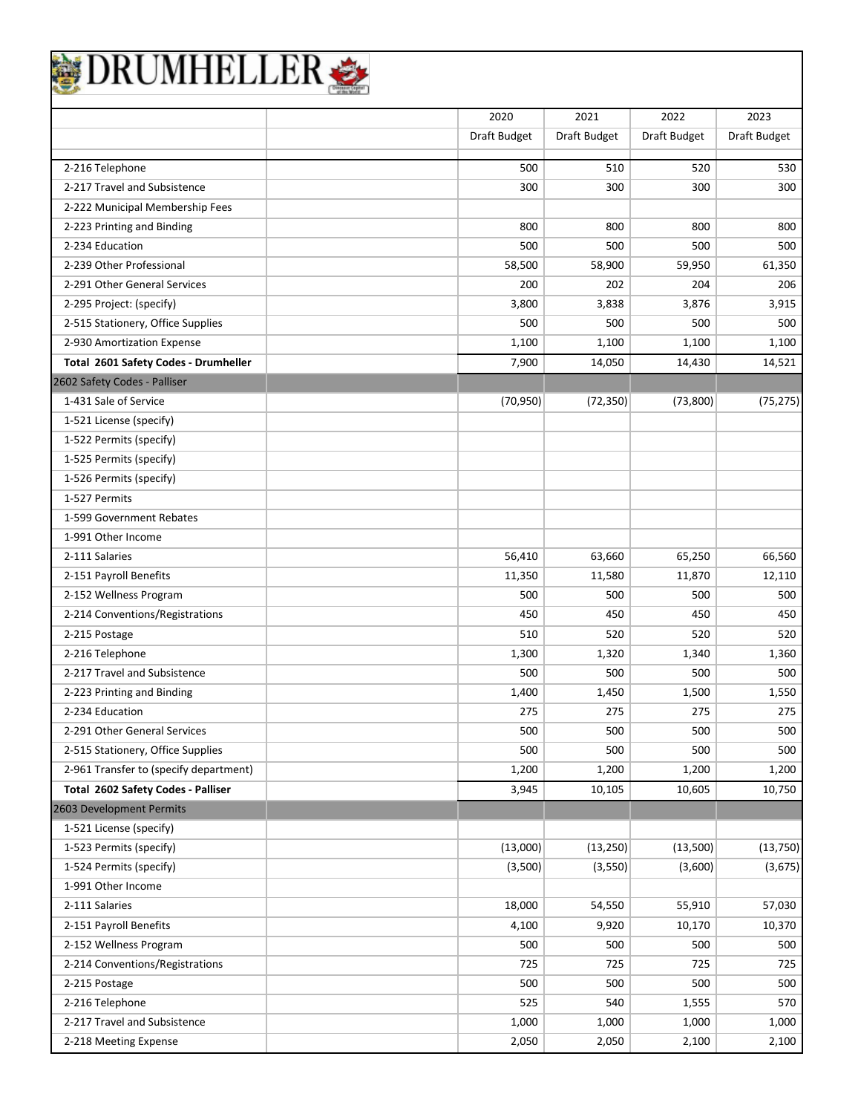|                                        | 2020         | 2021         | 2022         | 2023         |
|----------------------------------------|--------------|--------------|--------------|--------------|
|                                        |              | Draft Budget |              |              |
|                                        | Draft Budget |              | Draft Budget | Draft Budget |
| 2-216 Telephone                        | 500          | 510          | 520          | 530          |
| 2-217 Travel and Subsistence           | 300          | 300          | 300          | 300          |
| 2-222 Municipal Membership Fees        |              |              |              |              |
| 2-223 Printing and Binding             | 800          | 800          | 800          | 800          |
| 2-234 Education                        | 500          | 500          | 500          | 500          |
| 2-239 Other Professional               | 58,500       | 58,900       | 59,950       | 61,350       |
| 2-291 Other General Services           | 200          | 202          | 204          | 206          |
| 2-295 Project: (specify)               | 3,800        | 3,838        | 3,876        | 3,915        |
| 2-515 Stationery, Office Supplies      | 500          | 500          | 500          | 500          |
| 2-930 Amortization Expense             | 1,100        | 1,100        | 1,100        | 1,100        |
| Total 2601 Safety Codes - Drumheller   | 7,900        | 14,050       | 14,430       | 14,521       |
| 2602 Safety Codes - Palliser           |              |              |              |              |
| 1-431 Sale of Service                  | (70, 950)    | (72, 350)    | (73,800)     | (75, 275)    |
| 1-521 License (specify)                |              |              |              |              |
| 1-522 Permits (specify)                |              |              |              |              |
| 1-525 Permits (specify)                |              |              |              |              |
| 1-526 Permits (specify)                |              |              |              |              |
| 1-527 Permits                          |              |              |              |              |
| 1-599 Government Rebates               |              |              |              |              |
| 1-991 Other Income                     |              |              |              |              |
| 2-111 Salaries                         | 56,410       | 63,660       | 65,250       | 66,560       |
| 2-151 Payroll Benefits                 | 11,350       | 11,580       | 11,870       | 12,110       |
| 2-152 Wellness Program                 | 500          | 500          | 500          | 500          |
| 2-214 Conventions/Registrations        | 450          | 450          | 450          | 450          |
| 2-215 Postage                          | 510          | 520          | 520          | 520          |
| 2-216 Telephone                        | 1,300        | 1,320        | 1,340        | 1,360        |
| 2-217 Travel and Subsistence           | 500          | 500          | 500          | 500          |
| 2-223 Printing and Binding             | 1,400        | 1,450        | 1,500        | 1,550        |
| 2-234 Education                        | 275          | 275          | 275          | 275          |
| 2-291 Other General Services           | 500          | 500          | 500          | 500          |
| 2-515 Stationery, Office Supplies      | 500          | 500          | 500          | 500          |
| 2-961 Transfer to (specify department) | 1,200        | 1,200        | 1,200        | 1,200        |
| Total 2602 Safety Codes - Palliser     | 3,945        | 10,105       | 10,605       | 10,750       |
| 2603 Development Permits               |              |              |              |              |
| 1-521 License (specify)                |              |              |              |              |
| 1-523 Permits (specify)                | (13,000)     | (13, 250)    | (13,500)     | (13, 750)    |
| 1-524 Permits (specify)                | (3,500)      | (3,550)      | (3,600)      | (3,675)      |
| 1-991 Other Income                     |              |              |              |              |
| 2-111 Salaries                         | 18,000       | 54,550       | 55,910       | 57,030       |
| 2-151 Payroll Benefits                 | 4,100        | 9,920        | 10,170       | 10,370       |
| 2-152 Wellness Program                 | 500          | 500          | 500          | 500          |
| 2-214 Conventions/Registrations        | 725          | 725          | 725          | 725          |
| 2-215 Postage                          | 500          | 500          | 500          | 500          |
| 2-216 Telephone                        | 525          | 540          | 1,555        | 570          |
| 2-217 Travel and Subsistence           | 1,000        | 1,000        | 1,000        | 1,000        |
| 2-218 Meeting Expense                  | 2,050        | 2,050        | 2,100        | 2,100        |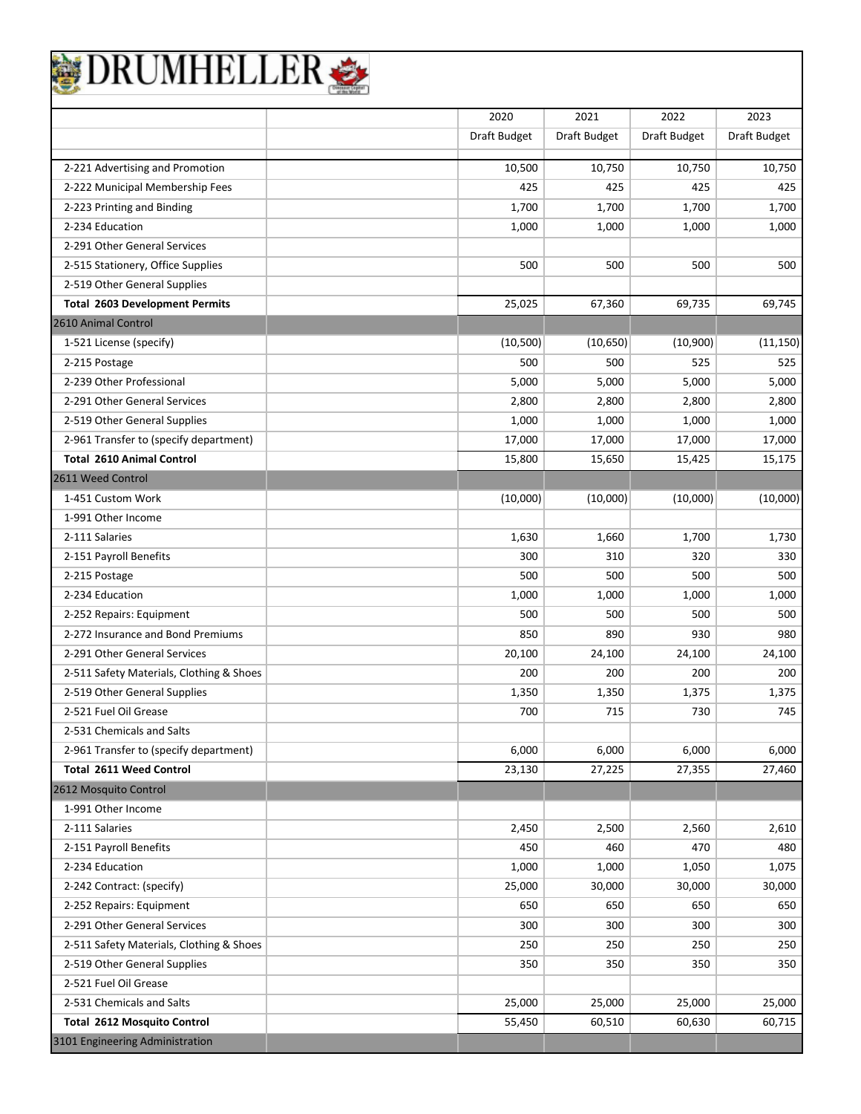| <b>)RUMHELLE</b>                         |              |              |              |              |
|------------------------------------------|--------------|--------------|--------------|--------------|
|                                          | 2020         | 2021         | 2022         | 2023         |
|                                          | Draft Budget | Draft Budget | Draft Budget | Draft Budget |
| 2-221 Advertising and Promotion          | 10,500       | 10,750       | 10,750       | 10,750       |
| 2-222 Municipal Membership Fees          | 425          | 425          | 425          | 425          |
| 2-223 Printing and Binding               | 1,700        | 1,700        | 1,700        | 1,700        |
| 2-234 Education                          | 1,000        | 1,000        | 1,000        | 1,000        |
| 2-291 Other General Services             |              |              |              |              |
| 2-515 Stationery, Office Supplies        | 500          | 500          | 500          | 500          |
| 2-519 Other General Supplies             |              |              |              |              |
| <b>Total 2603 Development Permits</b>    | 25,025       | 67,360       | 69,735       | 69,745       |
| 2610 Animal Control                      |              |              |              |              |
| 1-521 License (specify)                  | (10, 500)    | (10, 650)    | (10,900)     | (11, 150)    |
| 2-215 Postage                            | 500          | 500          | 525          | 525          |
| 2-239 Other Professional                 | 5,000        | 5,000        | 5,000        | 5,000        |
| 2-291 Other General Services             | 2,800        | 2,800        | 2,800        | 2,800        |
| 2-519 Other General Supplies             | 1,000        | 1,000        | 1,000        | 1,000        |
| 2-961 Transfer to (specify department)   | 17,000       | 17,000       | 17,000       | 17,000       |
| <b>Total 2610 Animal Control</b>         | 15,800       | 15,650       | 15,425       | 15,175       |
| 2611 Weed Control                        |              |              |              |              |
| 1-451 Custom Work                        | (10,000)     | (10,000)     | (10,000)     | (10,000)     |
| 1-991 Other Income                       |              |              |              |              |
| 2-111 Salaries                           | 1,630        | 1,660        | 1,700        | 1,730        |
| 2-151 Payroll Benefits                   | 300          | 310          | 320          | 330          |
| 2-215 Postage                            | 500          | 500          | 500          | 500          |
| 2-234 Education                          | 1,000        | 1,000        | 1,000        | 1,000        |
| 2-252 Repairs: Equipment                 | 500          | 500          | 500          | 500          |
| 2-272 Insurance and Bond Premiums        | 850          | 890          | 930          | 980          |
| 2-291 Other General Services             | 20,100       | 24,100       | 24,100       | 24,100       |
| 2-511 Safety Materials, Clothing & Shoes | 200          | 200          | 200          | 200          |
| 2-519 Other General Supplies             | 1,350        | 1,350        | 1,375        | 1,375        |
| 2-521 Fuel Oil Grease                    | 700          | 715          | 730          | 745          |
| 2-531 Chemicals and Salts                |              |              |              |              |
| 2-961 Transfer to (specify department)   | 6,000        | 6,000        | 6,000        | 6,000        |
| <b>Total 2611 Weed Control</b>           | 23,130       | 27,225       | 27,355       | 27,460       |
| 2612 Mosquito Control                    |              |              |              |              |
| 1-991 Other Income                       |              |              |              |              |
| 2-111 Salaries                           | 2,450        | 2,500        | 2,560        | 2,610        |
| 2-151 Payroll Benefits                   | 450          | 460          | 470          | 480          |
| 2-234 Education                          | 1,000        | 1,000        | 1,050        | 1,075        |
| 2-242 Contract: (specify)                | 25,000       | 30,000       | 30,000       | 30,000       |
| 2-252 Repairs: Equipment                 | 650          | 650          | 650          | 650          |
| 2-291 Other General Services             | 300          | 300          | 300          | 300          |
| 2-511 Safety Materials, Clothing & Shoes | 250          | 250          | 250          | 250          |
| 2-519 Other General Supplies             | 350          | 350          | 350          | 350          |
| 2-521 Fuel Oil Grease                    |              |              |              |              |
| 2-531 Chemicals and Salts                | 25,000       | 25,000       | 25,000       | 25,000       |
| <b>Total 2612 Mosquito Control</b>       | 55,450       | 60,510       | 60,630       | 60,715       |
| 3101 Engineering Administration          |              |              |              |              |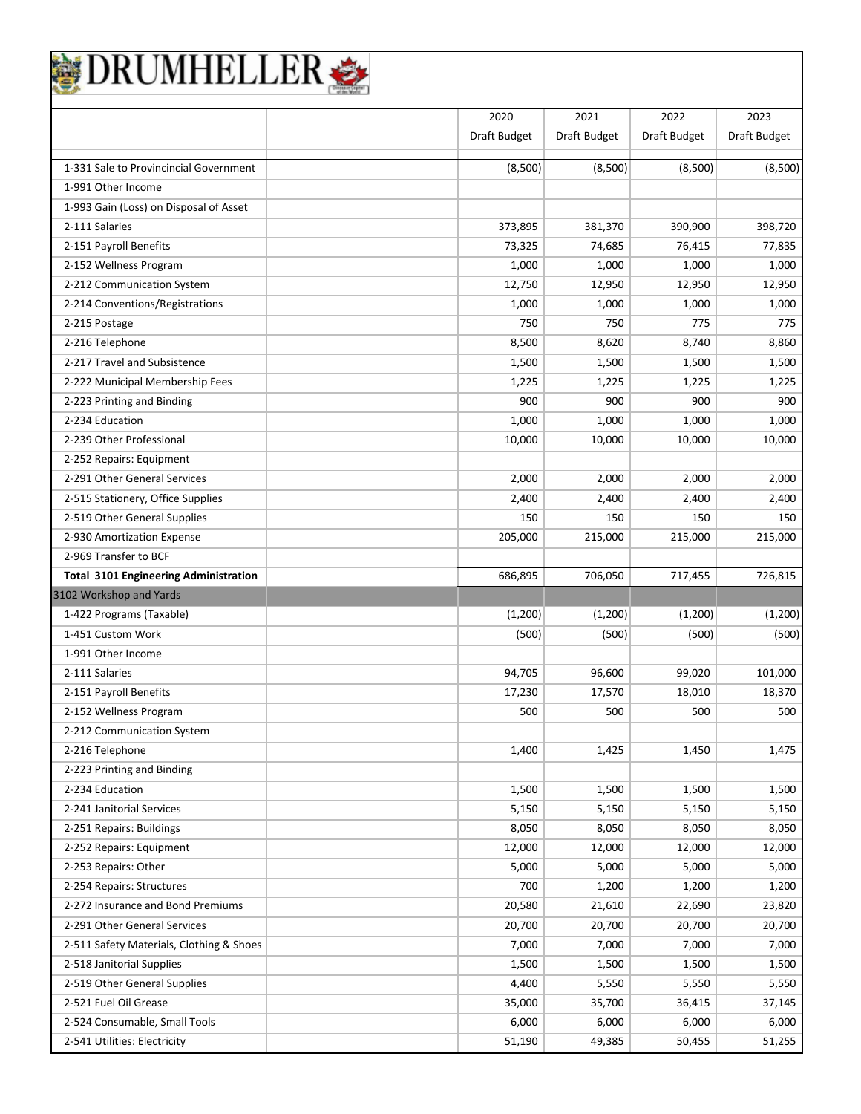| 1-331 Sale to Provincincial Government<br>1-991 Other Income<br>1-993 Gain (Loss) on Disposal of Asset<br>2-111 Salaries<br>2-151 Payroll Benefits<br>2-152 Wellness Program<br>2-212 Communication System<br>2-214 Conventions/Registrations<br>2-215 Postage<br>2-216 Telephone<br>2-217 Travel and Subsistence<br>2-222 Municipal Membership Fees<br>2-223 Printing and Binding<br>2-234 Education<br>2-239 Other Professional<br>2-252 Repairs: Equipment<br>2-291 Other General Services<br>2-515 Stationery, Office Supplies<br>2-519 Other General Supplies<br>2-930 Amortization Expense<br>2-969 Transfer to BCF<br><b>Total 3101 Engineering Administration</b><br>3102 Workshop and Yards<br>1-422 Programs (Taxable)<br>1-451 Custom Work<br>1-991 Other Income<br>2-111 Salaries<br>2-151 Payroll Benefits<br>2-152 Wellness Program<br>2-212 Communication System<br>2-216 Telephone<br>2-223 Printing and Binding | Draft Budget<br>(8,500)<br>373,895<br>73,325<br>1,000<br>12,750<br>1,000<br>750<br>8,500<br>1,500<br>1,225<br>900<br>1,000<br>10,000<br>2,000<br>2,400<br>150<br>205,000 | Draft Budget<br>(8,500)<br>381,370<br>74,685<br>1,000<br>12,950<br>1,000<br>750<br>8,620<br>1,500<br>1,225<br>900<br>1,000<br>10,000<br>2,000<br>2,400<br>150 | Draft Budget<br>(8,500)<br>390,900<br>76,415<br>1,000<br>12,950<br>1,000<br>775<br>8,740<br>1,500<br>1,225<br>900<br>1,000<br>10,000<br>2,000<br>2,400<br>150 | Draft Budget<br>(8,500)<br>398,720<br>77,835<br>1,000<br>12,950<br>1,000<br>775<br>8,860<br>1,500<br>1,225<br>900<br>1,000<br>10,000<br>2,000<br>2,400 |
|----------------------------------------------------------------------------------------------------------------------------------------------------------------------------------------------------------------------------------------------------------------------------------------------------------------------------------------------------------------------------------------------------------------------------------------------------------------------------------------------------------------------------------------------------------------------------------------------------------------------------------------------------------------------------------------------------------------------------------------------------------------------------------------------------------------------------------------------------------------------------------------------------------------------------------|--------------------------------------------------------------------------------------------------------------------------------------------------------------------------|---------------------------------------------------------------------------------------------------------------------------------------------------------------|---------------------------------------------------------------------------------------------------------------------------------------------------------------|--------------------------------------------------------------------------------------------------------------------------------------------------------|
|                                                                                                                                                                                                                                                                                                                                                                                                                                                                                                                                                                                                                                                                                                                                                                                                                                                                                                                                  |                                                                                                                                                                          |                                                                                                                                                               |                                                                                                                                                               |                                                                                                                                                        |
|                                                                                                                                                                                                                                                                                                                                                                                                                                                                                                                                                                                                                                                                                                                                                                                                                                                                                                                                  |                                                                                                                                                                          |                                                                                                                                                               |                                                                                                                                                               |                                                                                                                                                        |
|                                                                                                                                                                                                                                                                                                                                                                                                                                                                                                                                                                                                                                                                                                                                                                                                                                                                                                                                  |                                                                                                                                                                          |                                                                                                                                                               |                                                                                                                                                               |                                                                                                                                                        |
|                                                                                                                                                                                                                                                                                                                                                                                                                                                                                                                                                                                                                                                                                                                                                                                                                                                                                                                                  |                                                                                                                                                                          |                                                                                                                                                               |                                                                                                                                                               |                                                                                                                                                        |
|                                                                                                                                                                                                                                                                                                                                                                                                                                                                                                                                                                                                                                                                                                                                                                                                                                                                                                                                  |                                                                                                                                                                          |                                                                                                                                                               |                                                                                                                                                               |                                                                                                                                                        |
|                                                                                                                                                                                                                                                                                                                                                                                                                                                                                                                                                                                                                                                                                                                                                                                                                                                                                                                                  |                                                                                                                                                                          |                                                                                                                                                               |                                                                                                                                                               |                                                                                                                                                        |
|                                                                                                                                                                                                                                                                                                                                                                                                                                                                                                                                                                                                                                                                                                                                                                                                                                                                                                                                  |                                                                                                                                                                          |                                                                                                                                                               |                                                                                                                                                               |                                                                                                                                                        |
|                                                                                                                                                                                                                                                                                                                                                                                                                                                                                                                                                                                                                                                                                                                                                                                                                                                                                                                                  |                                                                                                                                                                          |                                                                                                                                                               |                                                                                                                                                               |                                                                                                                                                        |
|                                                                                                                                                                                                                                                                                                                                                                                                                                                                                                                                                                                                                                                                                                                                                                                                                                                                                                                                  |                                                                                                                                                                          |                                                                                                                                                               |                                                                                                                                                               |                                                                                                                                                        |
|                                                                                                                                                                                                                                                                                                                                                                                                                                                                                                                                                                                                                                                                                                                                                                                                                                                                                                                                  |                                                                                                                                                                          |                                                                                                                                                               |                                                                                                                                                               |                                                                                                                                                        |
|                                                                                                                                                                                                                                                                                                                                                                                                                                                                                                                                                                                                                                                                                                                                                                                                                                                                                                                                  |                                                                                                                                                                          |                                                                                                                                                               |                                                                                                                                                               |                                                                                                                                                        |
|                                                                                                                                                                                                                                                                                                                                                                                                                                                                                                                                                                                                                                                                                                                                                                                                                                                                                                                                  |                                                                                                                                                                          |                                                                                                                                                               |                                                                                                                                                               |                                                                                                                                                        |
|                                                                                                                                                                                                                                                                                                                                                                                                                                                                                                                                                                                                                                                                                                                                                                                                                                                                                                                                  |                                                                                                                                                                          |                                                                                                                                                               |                                                                                                                                                               |                                                                                                                                                        |
|                                                                                                                                                                                                                                                                                                                                                                                                                                                                                                                                                                                                                                                                                                                                                                                                                                                                                                                                  |                                                                                                                                                                          |                                                                                                                                                               |                                                                                                                                                               |                                                                                                                                                        |
|                                                                                                                                                                                                                                                                                                                                                                                                                                                                                                                                                                                                                                                                                                                                                                                                                                                                                                                                  |                                                                                                                                                                          |                                                                                                                                                               |                                                                                                                                                               |                                                                                                                                                        |
|                                                                                                                                                                                                                                                                                                                                                                                                                                                                                                                                                                                                                                                                                                                                                                                                                                                                                                                                  |                                                                                                                                                                          |                                                                                                                                                               |                                                                                                                                                               |                                                                                                                                                        |
|                                                                                                                                                                                                                                                                                                                                                                                                                                                                                                                                                                                                                                                                                                                                                                                                                                                                                                                                  |                                                                                                                                                                          |                                                                                                                                                               |                                                                                                                                                               |                                                                                                                                                        |
|                                                                                                                                                                                                                                                                                                                                                                                                                                                                                                                                                                                                                                                                                                                                                                                                                                                                                                                                  |                                                                                                                                                                          |                                                                                                                                                               |                                                                                                                                                               |                                                                                                                                                        |
|                                                                                                                                                                                                                                                                                                                                                                                                                                                                                                                                                                                                                                                                                                                                                                                                                                                                                                                                  |                                                                                                                                                                          |                                                                                                                                                               |                                                                                                                                                               |                                                                                                                                                        |
|                                                                                                                                                                                                                                                                                                                                                                                                                                                                                                                                                                                                                                                                                                                                                                                                                                                                                                                                  |                                                                                                                                                                          |                                                                                                                                                               |                                                                                                                                                               | 150                                                                                                                                                    |
|                                                                                                                                                                                                                                                                                                                                                                                                                                                                                                                                                                                                                                                                                                                                                                                                                                                                                                                                  |                                                                                                                                                                          | 215,000                                                                                                                                                       | 215,000                                                                                                                                                       | 215,000                                                                                                                                                |
|                                                                                                                                                                                                                                                                                                                                                                                                                                                                                                                                                                                                                                                                                                                                                                                                                                                                                                                                  |                                                                                                                                                                          |                                                                                                                                                               |                                                                                                                                                               |                                                                                                                                                        |
|                                                                                                                                                                                                                                                                                                                                                                                                                                                                                                                                                                                                                                                                                                                                                                                                                                                                                                                                  | 686,895                                                                                                                                                                  | 706,050                                                                                                                                                       | 717,455                                                                                                                                                       | 726,815                                                                                                                                                |
|                                                                                                                                                                                                                                                                                                                                                                                                                                                                                                                                                                                                                                                                                                                                                                                                                                                                                                                                  |                                                                                                                                                                          |                                                                                                                                                               |                                                                                                                                                               |                                                                                                                                                        |
|                                                                                                                                                                                                                                                                                                                                                                                                                                                                                                                                                                                                                                                                                                                                                                                                                                                                                                                                  | (1,200)                                                                                                                                                                  | (1,200)                                                                                                                                                       | (1,200)                                                                                                                                                       | (1,200)                                                                                                                                                |
|                                                                                                                                                                                                                                                                                                                                                                                                                                                                                                                                                                                                                                                                                                                                                                                                                                                                                                                                  | (500)                                                                                                                                                                    | (500)                                                                                                                                                         | (500)                                                                                                                                                         | (500)                                                                                                                                                  |
|                                                                                                                                                                                                                                                                                                                                                                                                                                                                                                                                                                                                                                                                                                                                                                                                                                                                                                                                  |                                                                                                                                                                          |                                                                                                                                                               |                                                                                                                                                               |                                                                                                                                                        |
|                                                                                                                                                                                                                                                                                                                                                                                                                                                                                                                                                                                                                                                                                                                                                                                                                                                                                                                                  | 94,705                                                                                                                                                                   | 96,600                                                                                                                                                        | 99,020                                                                                                                                                        | 101,000                                                                                                                                                |
|                                                                                                                                                                                                                                                                                                                                                                                                                                                                                                                                                                                                                                                                                                                                                                                                                                                                                                                                  | 17,230                                                                                                                                                                   | 17,570                                                                                                                                                        | 18,010                                                                                                                                                        | 18,370                                                                                                                                                 |
|                                                                                                                                                                                                                                                                                                                                                                                                                                                                                                                                                                                                                                                                                                                                                                                                                                                                                                                                  | 500                                                                                                                                                                      | 500                                                                                                                                                           | 500                                                                                                                                                           | 500                                                                                                                                                    |
|                                                                                                                                                                                                                                                                                                                                                                                                                                                                                                                                                                                                                                                                                                                                                                                                                                                                                                                                  |                                                                                                                                                                          |                                                                                                                                                               |                                                                                                                                                               |                                                                                                                                                        |
|                                                                                                                                                                                                                                                                                                                                                                                                                                                                                                                                                                                                                                                                                                                                                                                                                                                                                                                                  | 1,400                                                                                                                                                                    | 1,425                                                                                                                                                         | 1,450                                                                                                                                                         | 1,475                                                                                                                                                  |
|                                                                                                                                                                                                                                                                                                                                                                                                                                                                                                                                                                                                                                                                                                                                                                                                                                                                                                                                  |                                                                                                                                                                          |                                                                                                                                                               |                                                                                                                                                               |                                                                                                                                                        |
| 2-234 Education                                                                                                                                                                                                                                                                                                                                                                                                                                                                                                                                                                                                                                                                                                                                                                                                                                                                                                                  | 1,500                                                                                                                                                                    | 1,500                                                                                                                                                         | 1,500                                                                                                                                                         | 1,500                                                                                                                                                  |
| 2-241 Janitorial Services                                                                                                                                                                                                                                                                                                                                                                                                                                                                                                                                                                                                                                                                                                                                                                                                                                                                                                        | 5,150                                                                                                                                                                    | 5,150                                                                                                                                                         | 5,150                                                                                                                                                         | 5,150                                                                                                                                                  |
| 2-251 Repairs: Buildings                                                                                                                                                                                                                                                                                                                                                                                                                                                                                                                                                                                                                                                                                                                                                                                                                                                                                                         | 8,050                                                                                                                                                                    | 8,050                                                                                                                                                         | 8,050                                                                                                                                                         | 8,050                                                                                                                                                  |
| 2-252 Repairs: Equipment                                                                                                                                                                                                                                                                                                                                                                                                                                                                                                                                                                                                                                                                                                                                                                                                                                                                                                         | 12,000                                                                                                                                                                   | 12,000                                                                                                                                                        | 12,000                                                                                                                                                        | 12,000                                                                                                                                                 |
| 2-253 Repairs: Other                                                                                                                                                                                                                                                                                                                                                                                                                                                                                                                                                                                                                                                                                                                                                                                                                                                                                                             | 5,000                                                                                                                                                                    | 5,000                                                                                                                                                         | 5,000                                                                                                                                                         | 5,000                                                                                                                                                  |
| 2-254 Repairs: Structures                                                                                                                                                                                                                                                                                                                                                                                                                                                                                                                                                                                                                                                                                                                                                                                                                                                                                                        | 700                                                                                                                                                                      | 1,200                                                                                                                                                         | 1,200                                                                                                                                                         | 1,200                                                                                                                                                  |
| 2-272 Insurance and Bond Premiums                                                                                                                                                                                                                                                                                                                                                                                                                                                                                                                                                                                                                                                                                                                                                                                                                                                                                                | 20,580                                                                                                                                                                   | 21,610                                                                                                                                                        | 22,690                                                                                                                                                        | 23,820                                                                                                                                                 |
| 2-291 Other General Services                                                                                                                                                                                                                                                                                                                                                                                                                                                                                                                                                                                                                                                                                                                                                                                                                                                                                                     | 20,700                                                                                                                                                                   | 20,700                                                                                                                                                        | 20,700                                                                                                                                                        | 20,700                                                                                                                                                 |
| 2-511 Safety Materials, Clothing & Shoes                                                                                                                                                                                                                                                                                                                                                                                                                                                                                                                                                                                                                                                                                                                                                                                                                                                                                         | 7,000                                                                                                                                                                    | 7,000                                                                                                                                                         | 7,000                                                                                                                                                         | 7,000                                                                                                                                                  |
| 2-518 Janitorial Supplies                                                                                                                                                                                                                                                                                                                                                                                                                                                                                                                                                                                                                                                                                                                                                                                                                                                                                                        | 1,500                                                                                                                                                                    | 1,500                                                                                                                                                         | 1,500                                                                                                                                                         | 1,500                                                                                                                                                  |
| 2-519 Other General Supplies                                                                                                                                                                                                                                                                                                                                                                                                                                                                                                                                                                                                                                                                                                                                                                                                                                                                                                     | 4,400                                                                                                                                                                    | 5,550                                                                                                                                                         | 5,550                                                                                                                                                         | 5,550                                                                                                                                                  |
| 2-521 Fuel Oil Grease                                                                                                                                                                                                                                                                                                                                                                                                                                                                                                                                                                                                                                                                                                                                                                                                                                                                                                            | 35,000                                                                                                                                                                   | 35,700                                                                                                                                                        | 36,415                                                                                                                                                        | 37,145                                                                                                                                                 |
| 2-524 Consumable, Small Tools                                                                                                                                                                                                                                                                                                                                                                                                                                                                                                                                                                                                                                                                                                                                                                                                                                                                                                    |                                                                                                                                                                          |                                                                                                                                                               | 6,000                                                                                                                                                         | 6,000                                                                                                                                                  |

2-541 Utilities: Electricity **12-541 Utilities: Electricity** 51,255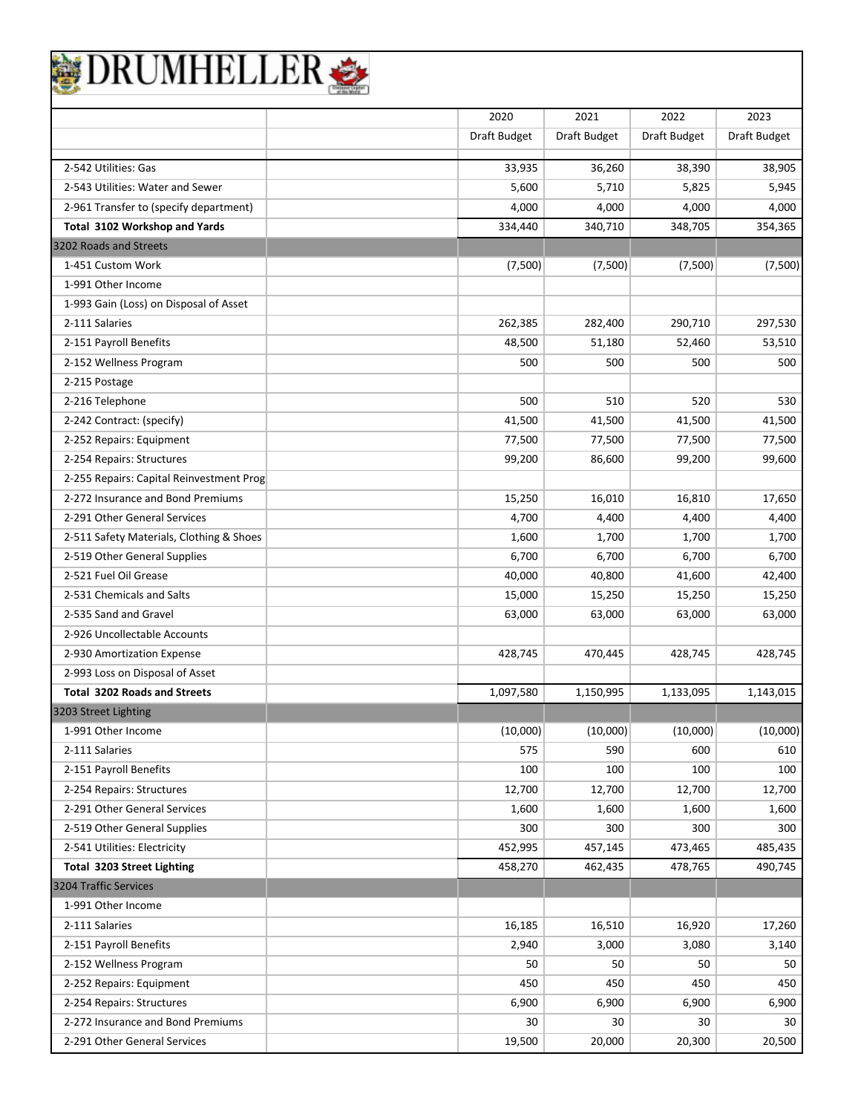|                                                                | 2020         | 2021         | 2022         | 2023         |
|----------------------------------------------------------------|--------------|--------------|--------------|--------------|
|                                                                | Draft Budget | Draft Budget | Draft Budget | Draft Budget |
| 2-542 Utilities: Gas                                           | 33,935       | 36,260       | 38,390       | 38,905       |
| 2-543 Utilities: Water and Sewer                               | 5,600        | 5,710        | 5,825        | 5,945        |
| 2-961 Transfer to (specify department)                         | 4,000        | 4,000        | 4,000        | 4,000        |
| Total 3102 Workshop and Yards                                  | 334,440      | 340,710      | 348,705      | 354,365      |
| 3202 Roads and Streets                                         |              |              |              |              |
| 1-451 Custom Work                                              | (7,500)      | (7,500)      | (7,500)      | (7,500)      |
| 1-991 Other Income                                             |              |              |              |              |
| 1-993 Gain (Loss) on Disposal of Asset                         |              |              |              |              |
| 2-111 Salaries                                                 | 262,385      | 282,400      | 290,710      | 297,530      |
| 2-151 Payroll Benefits                                         | 48,500       | 51,180       | 52,460       | 53,510       |
| 2-152 Wellness Program                                         | 500          | 500          | 500          | 500          |
| 2-215 Postage                                                  |              |              |              |              |
| 2-216 Telephone                                                | 500          | 510          | 520          | 530          |
| 2-242 Contract: (specify)                                      | 41,500       | 41,500       | 41,500       | 41,500       |
| 2-252 Repairs: Equipment                                       | 77,500       | 77,500       | 77,500       | 77,500       |
| 2-254 Repairs: Structures                                      | 99,200       | 86,600       | 99,200       | 99,600       |
| 2-255 Repairs: Capital Reinvestment Prog                       |              |              |              |              |
| 2-272 Insurance and Bond Premiums                              | 15,250       | 16,010       | 16,810       | 17,650       |
| 2-291 Other General Services                                   | 4,700        | 4,400        | 4,400        | 4,400        |
| 2-511 Safety Materials, Clothing & Shoes                       | 1,600        | 1,700        | 1,700        | 1,700        |
| 2-519 Other General Supplies                                   | 6,700        | 6,700        | 6,700        | 6,700        |
| 2-521 Fuel Oil Grease                                          | 40,000       | 40,800       | 41,600       | 42,400       |
| 2-531 Chemicals and Salts                                      | 15,000       | 15,250       | 15,250       | 15,250       |
| 2-535 Sand and Gravel                                          | 63,000       | 63,000       | 63,000       | 63,000       |
| 2-926 Uncollectable Accounts                                   |              |              |              |              |
| 2-930 Amortization Expense                                     | 428,745      | 470,445      | 428,745      | 428,745      |
| 2-993 Loss on Disposal of Asset                                |              |              |              |              |
| <b>Total 3202 Roads and Streets</b>                            | 1,097,580    | 1,150,995    | 1,133,095    | 1,143,015    |
| 3203 Street Lighting                                           |              |              |              |              |
| 1-991 Other Income                                             | (10,000)     | (10,000)     | (10,000)     | (10,000)     |
| 2-111 Salaries                                                 | 575          | 590          | 600          | 610          |
| 2-151 Payroll Benefits                                         | 100          | 100          | 100          | 100          |
| 2-254 Repairs: Structures                                      | 12,700       | 12,700       | 12,700       | 12,700       |
| 2-291 Other General Services                                   | 1,600        | 1,600        | 1,600        | 1,600        |
| 2-519 Other General Supplies                                   | 300          | 300          | 300          | 300          |
|                                                                | 452,995      |              |              |              |
| 2-541 Utilities: Electricity                                   |              | 457,145      | 473,465      | 485,435      |
| <b>Total 3203 Street Lighting</b><br>3204 Traffic Services     | 458,270      | 462,435      | 478,765      | 490,745      |
|                                                                |              |              |              |              |
| 1-991 Other Income                                             | 16,185       |              |              |              |
| 2-111 Salaries                                                 |              | 16,510       | 16,920       | 17,260       |
| 2-151 Payroll Benefits                                         | 2,940        | 3,000        | 3,080        | 3,140        |
| 2-152 Wellness Program                                         | 50           | 50           | 50           | 50           |
| 2-252 Repairs: Equipment                                       | 450          | 450          | 450          | 450          |
| 2-254 Repairs: Structures<br>2-272 Insurance and Bond Premiums | 6,900        | 6,900        | 6,900        | 6,900        |
|                                                                | 30           | 30           | 30           | 30           |
| 2-291 Other General Services                                   | 19,500       | 20,000       | 20,300       | 20,500       |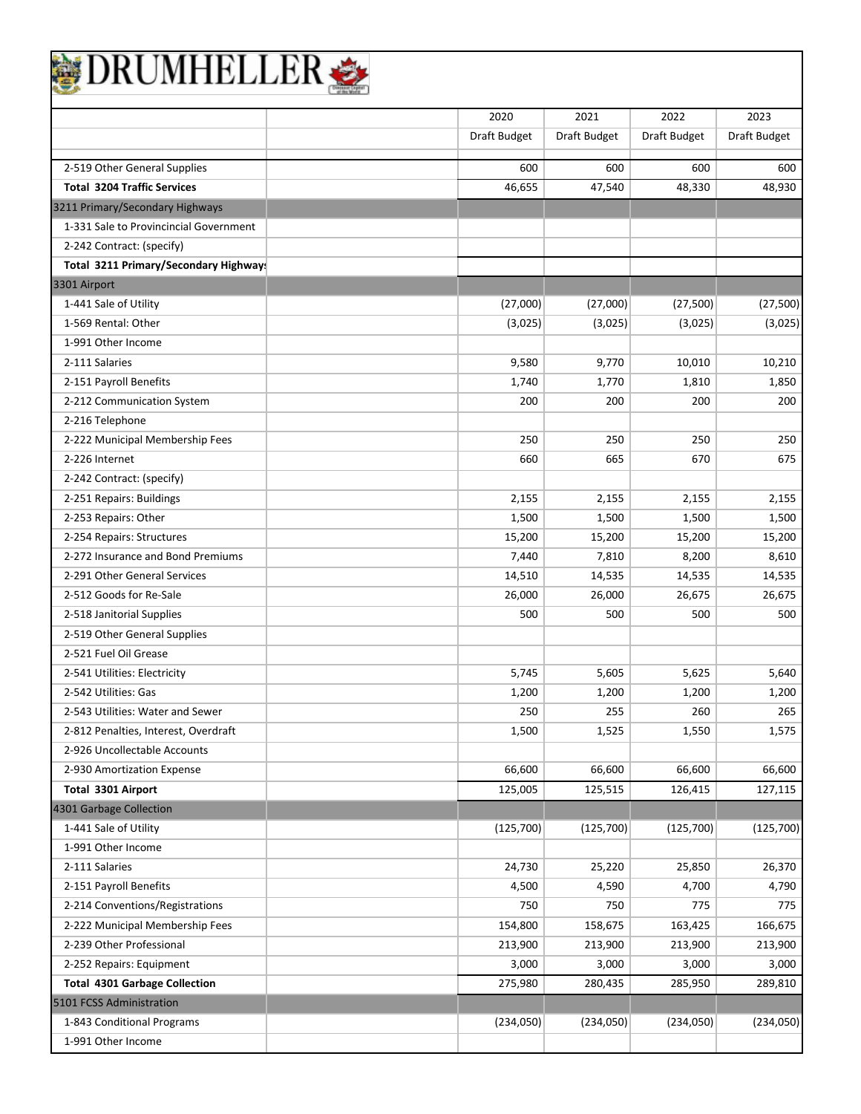| DRUMHELLER                             |              |              |                     |              |
|----------------------------------------|--------------|--------------|---------------------|--------------|
|                                        | 2020         | 2021         | 2022                | 2023         |
|                                        | Draft Budget | Draft Budget | <b>Draft Budget</b> | Draft Budget |
| 2-519 Other General Supplies           | 600          | 600          | 600                 | 600          |
| <b>Total 3204 Traffic Services</b>     | 46,655       | 47,540       | 48,330              | 48,930       |
| 3211 Primary/Secondary Highways        |              |              |                     |              |
| 1-331 Sale to Provincincial Government |              |              |                     |              |
| 2-242 Contract: (specify)              |              |              |                     |              |
| Total 3211 Primary/Secondary Highway!  |              |              |                     |              |
| 3301 Airport                           |              |              |                     |              |
| 1-441 Sale of Utility                  | (27,000)     | (27,000)     | (27,500)            | (27, 500)    |
| 1-569 Rental: Other                    | (3,025)      | (3,025)      | (3,025)             | (3,025)      |
| 1-991 Other Income                     |              |              |                     |              |
| 2-111 Salaries                         | 9,580        | 9,770        | 10,010              | 10,210       |
| 2-151 Payroll Benefits                 | 1,740        | 1,770        | 1,810               | 1,850        |
| 2-212 Communication System             | 200          | 200          | 200                 | 200          |
| 2-216 Telephone                        |              |              |                     |              |
| 2-222 Municipal Membership Fees        | 250          | 250          | 250                 | 250          |
| 2-226 Internet                         | 660          | 665          | 670                 | 675          |
| 2-242 Contract: (specify)              |              |              |                     |              |
| 2-251 Repairs: Buildings               | 2,155        | 2,155        | 2,155               | 2,155        |
| 2-253 Repairs: Other                   | 1,500        | 1,500        | 1,500               | 1,500        |
| 2-254 Repairs: Structures              | 15,200       | 15,200       | 15,200              | 15,200       |
| 2-272 Insurance and Bond Premiums      | 7,440        | 7,810        | 8,200               | 8,610        |
| 2-291 Other General Services           | 14,510       | 14,535       | 14,535              | 14,535       |
| 2-512 Goods for Re-Sale                | 26,000       | 26,000       | 26,675              | 26,675       |
| 2-518 Janitorial Supplies              | 500          | 500          | 500                 | 500          |
| 2-519 Other General Supplies           |              |              |                     |              |
| 2-521 Fuel Oil Grease                  |              |              |                     |              |
| 2-541 Utilities: Electricity           | 5,745        | 5,605        | 5,625               | 5,640        |
| 2-542 Utilities: Gas                   | 1,200        | 1,200        | 1,200               | 1,200        |
| 2-543 Utilities: Water and Sewer       | 250          | 255          | 260                 | 265          |
| 2-812 Penalties, Interest, Overdraft   | 1,500        | 1,525        | 1,550               | 1,575        |
| 2-926 Uncollectable Accounts           |              |              |                     |              |
| 2-930 Amortization Expense             | 66,600       | 66,600       | 66,600              | 66,600       |
| Total 3301 Airport                     | 125,005      | 125,515      | 126,415             | 127,115      |
| 4301 Garbage Collection                |              |              |                     |              |
| 1-441 Sale of Utility                  | (125, 700)   | (125, 700)   | (125,700)           | (125,700)    |
| 1-991 Other Income                     |              |              |                     |              |
| 2-111 Salaries                         | 24,730       | 25,220       | 25,850              | 26,370       |
| 2-151 Payroll Benefits                 | 4,500        | 4,590        | 4,700               | 4,790        |
| 2-214 Conventions/Registrations        | 750          | 750          | 775                 | 775          |
| 2-222 Municipal Membership Fees        | 154,800      | 158,675      | 163,425             | 166,675      |
| 2-239 Other Professional               | 213,900      | 213,900      | 213,900             | 213,900      |
| 2-252 Repairs: Equipment               | 3,000        | 3,000        | 3,000               | 3,000        |
| <b>Total 4301 Garbage Collection</b>   | 275,980      | 280,435      | 285,950             | 289,810      |
| 5101 FCSS Administration               |              |              |                     |              |
| 1-843 Conditional Programs             | (234,050)    | (234,050)    | (234,050)           | (234,050)    |
| 1-991 Other Income                     |              |              |                     |              |
|                                        |              |              |                     |              |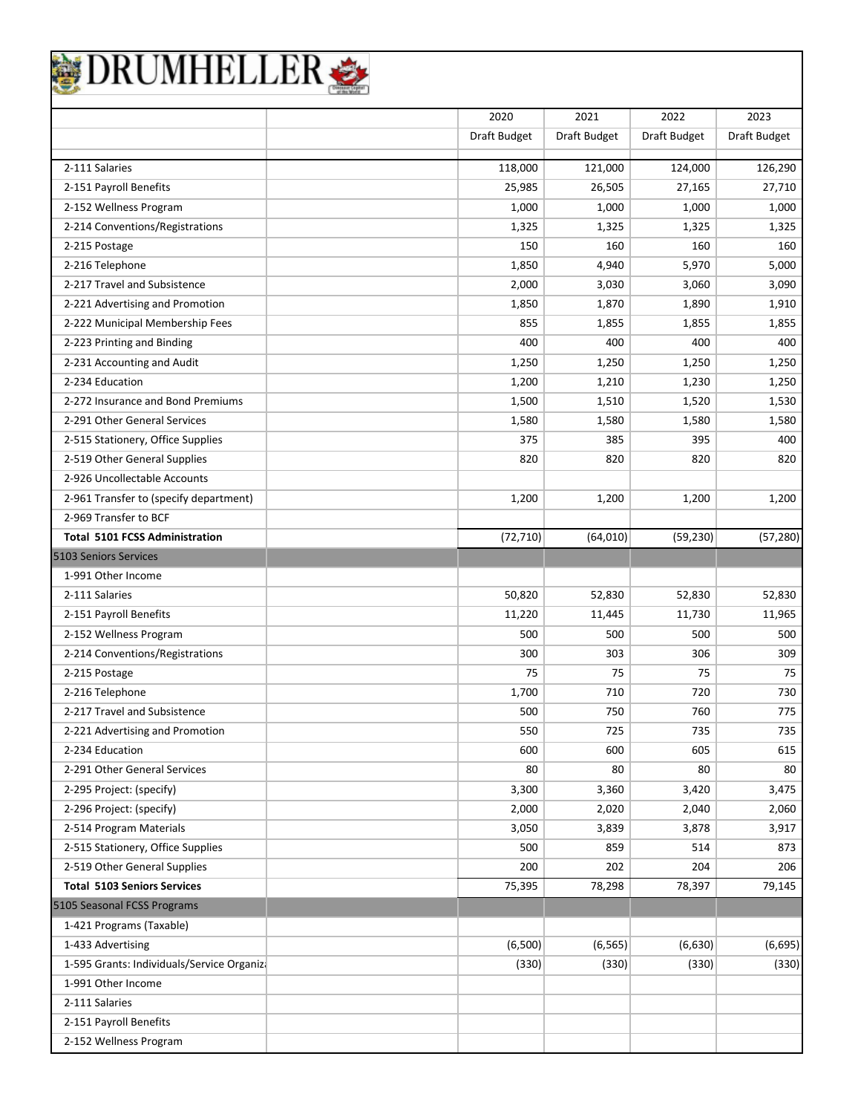| JRUMHELLEI                                       |              |              |              |                   |
|--------------------------------------------------|--------------|--------------|--------------|-------------------|
|                                                  | 2020         | 2021         | 2022         | 2023              |
|                                                  | Draft Budget | Draft Budget | Draft Budget | Draft Budget      |
| 2-111 Salaries                                   | 118,000      | 121,000      | 124,000      | 126,290           |
| 2-151 Payroll Benefits                           | 25,985       | 26,505       | 27,165       | 27,710            |
| 2-152 Wellness Program                           | 1,000        | 1,000        | 1,000        | 1,000             |
| 2-214 Conventions/Registrations                  | 1,325        | 1,325        | 1,325        | 1,325             |
| 2-215 Postage                                    | 150          | 160          | 160          | 160               |
| 2-216 Telephone                                  | 1,850        | 4,940        | 5,970        | 5,000             |
| 2-217 Travel and Subsistence                     | 2,000        | 3,030        | 3,060        | 3,090             |
| 2-221 Advertising and Promotion                  | 1,850        | 1,870        | 1,890        | 1,910             |
| 2-222 Municipal Membership Fees                  | 855          | 1,855        | 1,855        | 1,855             |
| 2-223 Printing and Binding                       | 400          | 400          | 400          | 400               |
| 2-231 Accounting and Audit                       | 1,250        | 1,250        | 1,250        | 1,250             |
| 2-234 Education                                  | 1,200        | 1,210        | 1,230        | 1,250             |
| 2-272 Insurance and Bond Premiums                | 1,500        | 1,510        | 1,520        | 1,530             |
| 2-291 Other General Services                     | 1,580        | 1,580        | 1,580        | 1,580             |
| 2-515 Stationery, Office Supplies                | 375          | 385          | 395          | 400               |
| 2-519 Other General Supplies                     | 820          | 820          | 820          | 820               |
| 2-926 Uncollectable Accounts                     |              |              |              |                   |
| 2-961 Transfer to (specify department)           | 1,200        | 1,200        | 1,200        | 1,200             |
| 2-969 Transfer to BCF                            |              |              |              |                   |
| <b>Total 5101 FCSS Administration</b>            | (72, 710)    | (64, 010)    | (59, 230)    | (57, 280)         |
| 5103 Seniors Services                            |              |              |              |                   |
| 1-991 Other Income                               |              |              |              |                   |
| 2-111 Salaries                                   | 50,820       | 52,830       | 52,830       | 52,830            |
| 2-151 Payroll Benefits                           | 11,220       | 11,445       | 11,730       | 11,965            |
| 2-152 Wellness Program                           | 500          | 500          | 500          | 500               |
| 2-214 Conventions/Registrations                  | 300          | 303          | 306          | 309               |
| 2-215 Postage                                    | 75           | 75           | 75           | 75                |
| 2-216 Telephone                                  | 1,700        | 710          | 720          | 730               |
| 2-217 Travel and Subsistence                     | 500          | 750          | 760          | 775               |
| 2-221 Advertising and Promotion                  | 550          | 725          | 735          | 735               |
| 2-234 Education                                  | 600          | 600          | 605          | 615               |
| 2-291 Other General Services                     | 80           | 80           | 80           | 80                |
| 2-295 Project: (specify)                         | 3,300        | 3,360        | 3,420        | 3,475             |
| 2-296 Project: (specify)                         | 2,000        | 2,020        | 2,040        | 2,060             |
| 2-514 Program Materials                          | 3,050        | 3,839        | 3,878        | 3,917             |
| 2-515 Stationery, Office Supplies                | 500          | 859          | 514          | 873               |
| 2-519 Other General Supplies                     | 200          | 202          | 204          | 206               |
| <b>Total 5103 Seniors Services</b>               | 75,395       | 78,298       | 78,397       | 79,145            |
| 5105 Seasonal FCSS Programs                      |              |              |              |                   |
| 1-421 Programs (Taxable)                         |              |              |              |                   |
|                                                  |              |              |              |                   |
| 1-433 Advertising                                | (6,500)      | (6, 565)     | (6,630)      |                   |
| 1-595 Grants: Individuals/Service Organiza       | (330)        | (330)        | (330)        |                   |
| 1-991 Other Income                               |              |              |              |                   |
| 2-111 Salaries                                   |              |              |              |                   |
| 2-151 Payroll Benefits<br>2-152 Wellness Program |              |              |              | (6, 695)<br>(330) |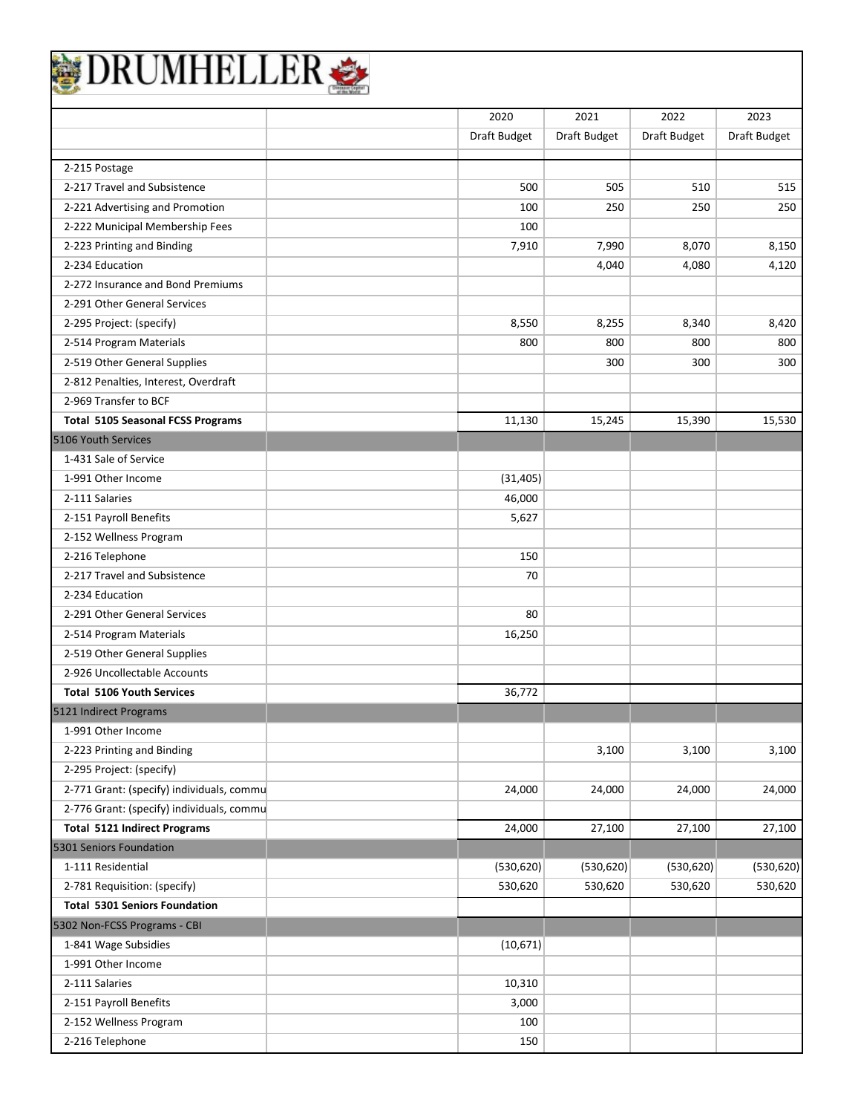|                                           | 2020         | 2021                | 2022         | 2023         |
|-------------------------------------------|--------------|---------------------|--------------|--------------|
|                                           | Draft Budget | <b>Draft Budget</b> | Draft Budget | Draft Budget |
| 2-215 Postage                             |              |                     |              |              |
| 2-217 Travel and Subsistence              | 500          | 505                 | 510          | 515          |
| 2-221 Advertising and Promotion           | 100          | 250                 | 250          | 250          |
| 2-222 Municipal Membership Fees           | 100          |                     |              |              |
| 2-223 Printing and Binding                | 7,910        | 7,990               | 8,070        | 8,150        |
| 2-234 Education                           |              | 4,040               | 4,080        | 4,120        |
| 2-272 Insurance and Bond Premiums         |              |                     |              |              |
| 2-291 Other General Services              |              |                     |              |              |
| 2-295 Project: (specify)                  | 8,550        | 8,255               | 8,340        | 8,420        |
| 2-514 Program Materials                   | 800          | 800                 | 800          | 800          |
| 2-519 Other General Supplies              |              | 300                 | 300          | 300          |
| 2-812 Penalties, Interest, Overdraft      |              |                     |              |              |
| 2-969 Transfer to BCF                     |              |                     |              |              |
| <b>Total 5105 Seasonal FCSS Programs</b>  | 11,130       | 15,245              | 15,390       | 15,530       |
| 5106 Youth Services                       |              |                     |              |              |
| 1-431 Sale of Service                     |              |                     |              |              |
| 1-991 Other Income                        | (31, 405)    |                     |              |              |
| 2-111 Salaries                            | 46,000       |                     |              |              |
| 2-151 Payroll Benefits                    | 5,627        |                     |              |              |
| 2-152 Wellness Program                    |              |                     |              |              |
| 2-216 Telephone                           | 150          |                     |              |              |
| 2-217 Travel and Subsistence              | 70           |                     |              |              |
| 2-234 Education                           |              |                     |              |              |
| 2-291 Other General Services              | 80           |                     |              |              |
| 2-514 Program Materials                   | 16,250       |                     |              |              |
| 2-519 Other General Supplies              |              |                     |              |              |
| 2-926 Uncollectable Accounts              |              |                     |              |              |
| <b>Total 5106 Youth Services</b>          | 36,772       |                     |              |              |
| 5121 Indirect Programs                    |              |                     |              |              |
| 1-991 Other Income                        |              |                     |              |              |
| 2-223 Printing and Binding                |              | 3,100               | 3,100        | 3,100        |
| 2-295 Project: (specify)                  |              |                     |              |              |
| 2-771 Grant: (specify) individuals, commu | 24,000       | 24,000              | 24,000       | 24,000       |
| 2-776 Grant: (specify) individuals, commu |              |                     |              |              |
| <b>Total 5121 Indirect Programs</b>       | 24,000       | 27,100              | 27,100       | 27,100       |
| 5301 Seniors Foundation                   |              |                     |              |              |
| 1-111 Residential                         | (530, 620)   | (530, 620)          | (530, 620)   | (530, 620)   |
| 2-781 Requisition: (specify)              | 530,620      | 530,620             | 530,620      | 530,620      |
| <b>Total 5301 Seniors Foundation</b>      |              |                     |              |              |
| 5302 Non-FCSS Programs - CBI              |              |                     |              |              |
| 1-841 Wage Subsidies                      | (10, 671)    |                     |              |              |
| 1-991 Other Income                        |              |                     |              |              |
| 2-111 Salaries                            | 10,310       |                     |              |              |
| 2-151 Payroll Benefits                    | 3,000        |                     |              |              |
| 2-152 Wellness Program                    | 100          |                     |              |              |
| 2-216 Telephone                           | 150          |                     |              |              |
|                                           |              |                     |              |              |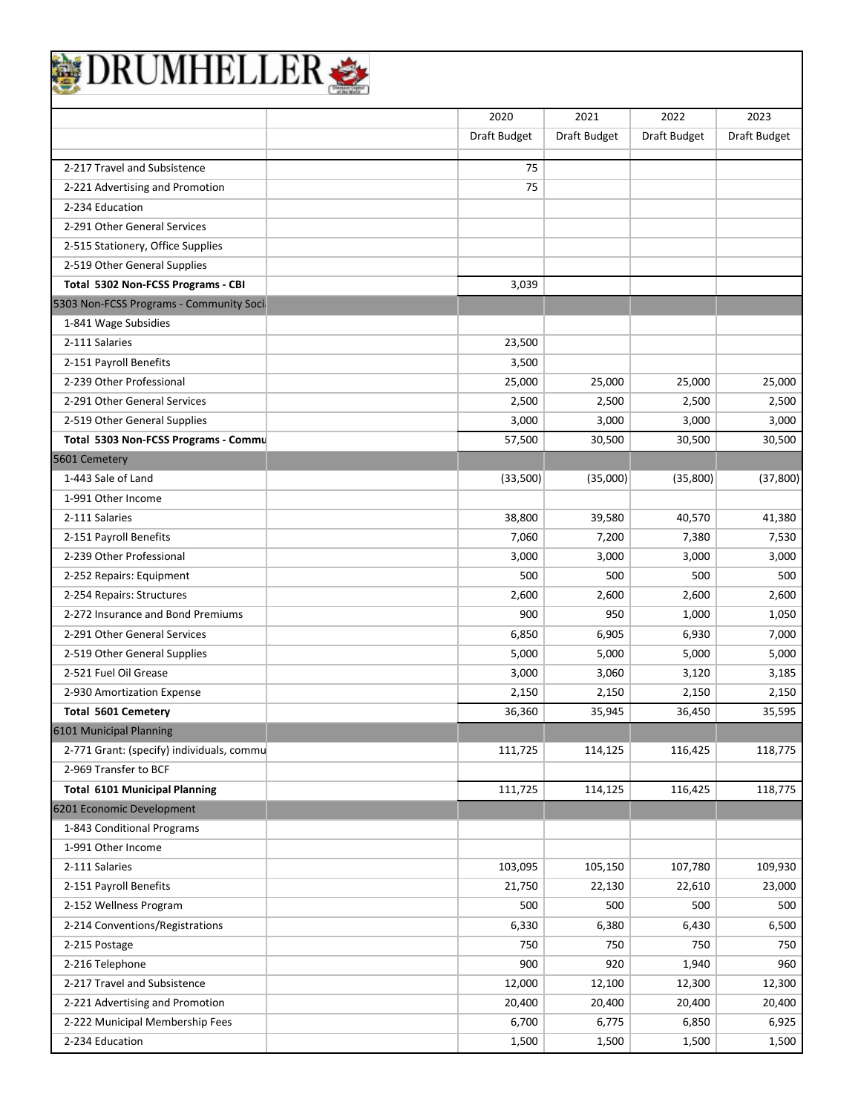|                                           | 2020         | 2021         | 2022         | 2023                |
|-------------------------------------------|--------------|--------------|--------------|---------------------|
|                                           | Draft Budget | Draft Budget | Draft Budget | <b>Draft Budget</b> |
| 2-217 Travel and Subsistence              | 75           |              |              |                     |
| 2-221 Advertising and Promotion           | 75           |              |              |                     |
| 2-234 Education                           |              |              |              |                     |
| 2-291 Other General Services              |              |              |              |                     |
| 2-515 Stationery, Office Supplies         |              |              |              |                     |
| 2-519 Other General Supplies              |              |              |              |                     |
| Total 5302 Non-FCSS Programs - CBI        | 3,039        |              |              |                     |
| 5303 Non-FCSS Programs - Community Soci   |              |              |              |                     |
| 1-841 Wage Subsidies                      |              |              |              |                     |
| 2-111 Salaries                            | 23,500       |              |              |                     |
| 2-151 Payroll Benefits                    | 3,500        |              |              |                     |
| 2-239 Other Professional                  | 25,000       | 25,000       | 25,000       | 25,000              |
| 2-291 Other General Services              | 2,500        | 2,500        | 2,500        | 2,500               |
| 2-519 Other General Supplies              | 3,000        | 3,000        | 3,000        | 3,000               |
| Total 5303 Non-FCSS Programs - Commu      | 57,500       | 30,500       | 30,500       | 30,500              |
| 5601 Cemetery                             |              |              |              |                     |
| 1-443 Sale of Land                        | (33,500)     | (35,000)     | (35,800)     | (37, 800)           |
| 1-991 Other Income                        |              |              |              |                     |
| 2-111 Salaries                            | 38,800       | 39,580       | 40,570       | 41,380              |
| 2-151 Payroll Benefits                    | 7,060        | 7,200        | 7,380        | 7,530               |
| 2-239 Other Professional                  | 3,000        | 3,000        | 3,000        | 3,000               |
| 2-252 Repairs: Equipment                  | 500          | 500          | 500          | 500                 |
| 2-254 Repairs: Structures                 | 2,600        | 2,600        | 2,600        | 2,600               |
| 2-272 Insurance and Bond Premiums         | 900          | 950          | 1,000        | 1,050               |
| 2-291 Other General Services              | 6,850        | 6,905        | 6,930        | 7,000               |
| 2-519 Other General Supplies              | 5,000        | 5,000        | 5,000        | 5,000               |
| 2-521 Fuel Oil Grease                     | 3,000        | 3,060        | 3,120        | 3,185               |
| 2-930 Amortization Expense                | 2,150        | 2,150        | 2,150        | 2,150               |
| <b>Total 5601 Cemetery</b>                | 36,360       | 35,945       | 36,450       | 35,595              |
| 6101 Municipal Planning                   |              |              |              |                     |
| 2-771 Grant: (specify) individuals, commu | 111,725      | 114,125      | 116,425      | 118,775             |
| 2-969 Transfer to BCF                     |              |              |              |                     |
| <b>Total 6101 Municipal Planning</b>      | 111,725      | 114,125      | 116,425      | 118,775             |
| 6201 Economic Development                 |              |              |              |                     |
| 1-843 Conditional Programs                |              |              |              |                     |
| 1-991 Other Income                        |              |              |              |                     |
| 2-111 Salaries                            | 103,095      | 105,150      | 107,780      | 109,930             |
| 2-151 Payroll Benefits                    | 21,750       | 22,130       | 22,610       | 23,000              |
| 2-152 Wellness Program                    | 500          | 500          | 500          | 500                 |
| 2-214 Conventions/Registrations           | 6,330        | 6,380        | 6,430        | 6,500               |

2-215 Postage 750 750 750 750 2-216 Telephone 900 920 1,940 960 2-217 Travel and Subsistence 12,300 12,300 12,300 12,300 12,300 12,300 12,300 12,300 2-221 Advertising and Promotion 20,400 20,400 20,400 20,400 2-222 Municipal Membership Fees and the contract of the contract of the 6,700 6,775 6,850 6,850 6,925 2-234 Education 1,500 1,500 1,500 1,500 1,500 1,500 1,500 1,500 1,500 1,500 1,500 1,500 1,500 1,500 1,500 1,500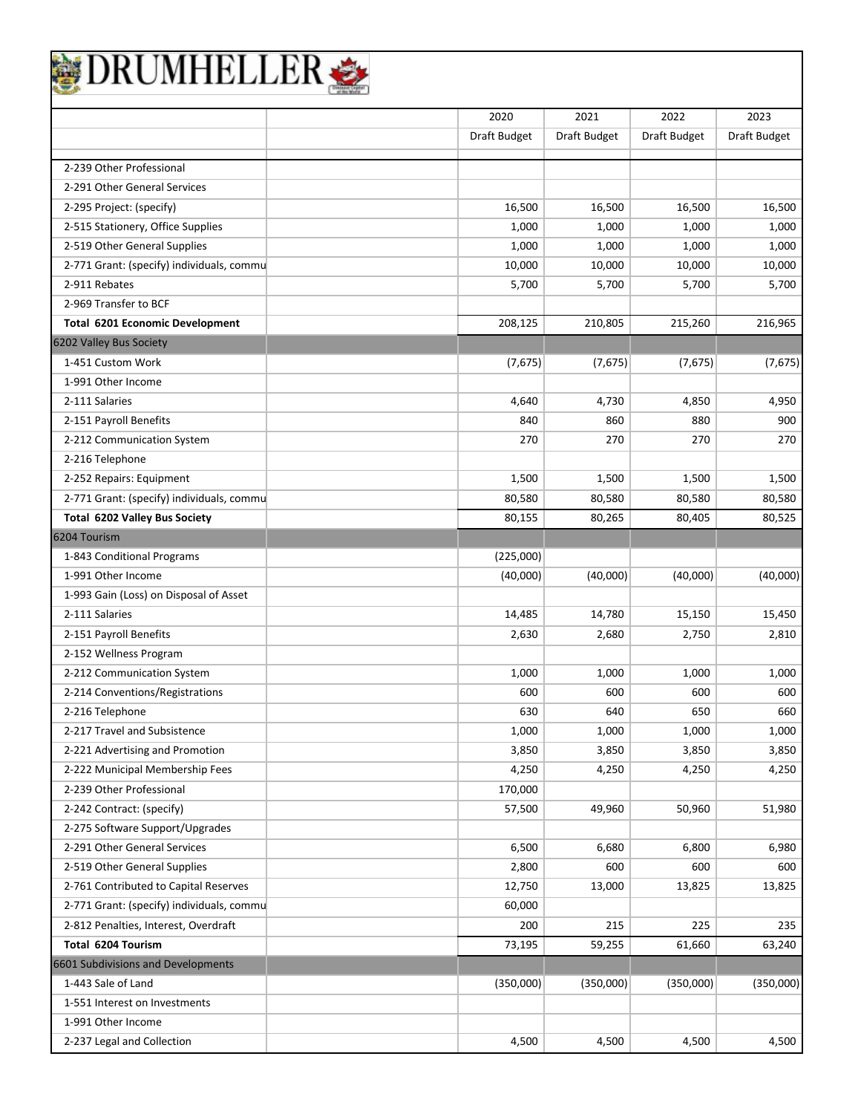| <b>)RUMHELLE</b>                          |              |              |              |              |
|-------------------------------------------|--------------|--------------|--------------|--------------|
|                                           | 2020         | 2021         | 2022         | 2023         |
|                                           | Draft Budget | Draft Budget | Draft Budget | Draft Budget |
| 2-239 Other Professional                  |              |              |              |              |
| 2-291 Other General Services              |              |              |              |              |
| 2-295 Project: (specify)                  | 16,500       | 16,500       | 16,500       | 16,500       |
| 2-515 Stationery, Office Supplies         | 1,000        | 1,000        | 1,000        | 1,000        |
| 2-519 Other General Supplies              | 1,000        | 1,000        | 1,000        | 1,000        |
| 2-771 Grant: (specify) individuals, commu | 10,000       | 10,000       | 10,000       | 10,000       |
| 2-911 Rebates                             | 5,700        | 5,700        | 5,700        | 5,700        |
| 2-969 Transfer to BCF                     |              |              |              |              |
| <b>Total 6201 Economic Development</b>    | 208,125      | 210,805      | 215,260      | 216,965      |
| 6202 Valley Bus Society                   |              |              |              |              |
| 1-451 Custom Work                         | (7,675)      | (7,675)      | (7, 675)     | (7,675)      |
| 1-991 Other Income                        |              |              |              |              |
| 2-111 Salaries                            | 4,640        | 4,730        | 4,850        | 4,950        |
| 2-151 Payroll Benefits                    | 840          | 860          | 880          | 900          |
| 2-212 Communication System                | 270          | 270          | 270          | 270          |
| 2-216 Telephone                           |              |              |              |              |
| 2-252 Repairs: Equipment                  | 1,500        | 1,500        | 1,500        | 1,500        |
| 2-771 Grant: (specify) individuals, commu | 80,580       | 80,580       | 80,580       | 80,580       |
| Total 6202 Valley Bus Society             | 80,155       | 80,265       | 80,405       | 80,525       |
| 6204 Tourism                              |              |              |              |              |
| 1-843 Conditional Programs                | (225,000)    |              |              |              |
| 1-991 Other Income                        | (40,000)     | (40,000)     | (40,000)     | (40,000)     |
| 1-993 Gain (Loss) on Disposal of Asset    |              |              |              |              |
| 2-111 Salaries                            | 14,485       | 14,780       | 15,150       | 15,450       |
| 2-151 Payroll Benefits                    | 2,630        | 2,680        | 2,750        | 2,810        |
| 2-152 Wellness Program                    |              |              |              |              |
| 2-212 Communication System                | 1,000        | 1,000        | 1,000        | 1,000        |
| 2-214 Conventions/Registrations           | 600          | 600          | 600          | 600          |
| 2-216 Telephone                           | 630          | 640          | 650          | 660          |
| 2-217 Travel and Subsistence              | 1,000        | 1,000        | 1,000        | 1,000        |
| 2-221 Advertising and Promotion           | 3,850        | 3,850        | 3,850        | 3,850        |
| 2-222 Municipal Membership Fees           | 4,250        | 4,250        | 4,250        | 4,250        |
| 2-239 Other Professional                  | 170,000      |              |              |              |
| 2-242 Contract: (specify)                 | 57,500       | 49,960       | 50,960       | 51,980       |
| 2-275 Software Support/Upgrades           |              |              |              |              |
| 2-291 Other General Services              | 6,500        | 6,680        | 6,800        | 6,980        |
| 2-519 Other General Supplies              | 2,800        | 600          | 600          | 600          |
| 2-761 Contributed to Capital Reserves     | 12,750       | 13,000       | 13,825       | 13,825       |
| 2-771 Grant: (specify) individuals, commu | 60,000       |              |              |              |
| 2-812 Penalties, Interest, Overdraft      | 200          | 215          | 225          | 235          |
| Total 6204 Tourism                        | 73,195       | 59,255       | 61,660       | 63,240       |
| 6601 Subdivisions and Developments        |              |              |              |              |
| 1-443 Sale of Land                        | (350,000)    | (350,000)    | (350,000)    | (350,000)    |
| 1-551 Interest on Investments             |              |              |              |              |
| 1-991 Other Income                        |              |              |              |              |
| 2-237 Legal and Collection                | 4,500        | 4,500        | 4,500        | 4,500        |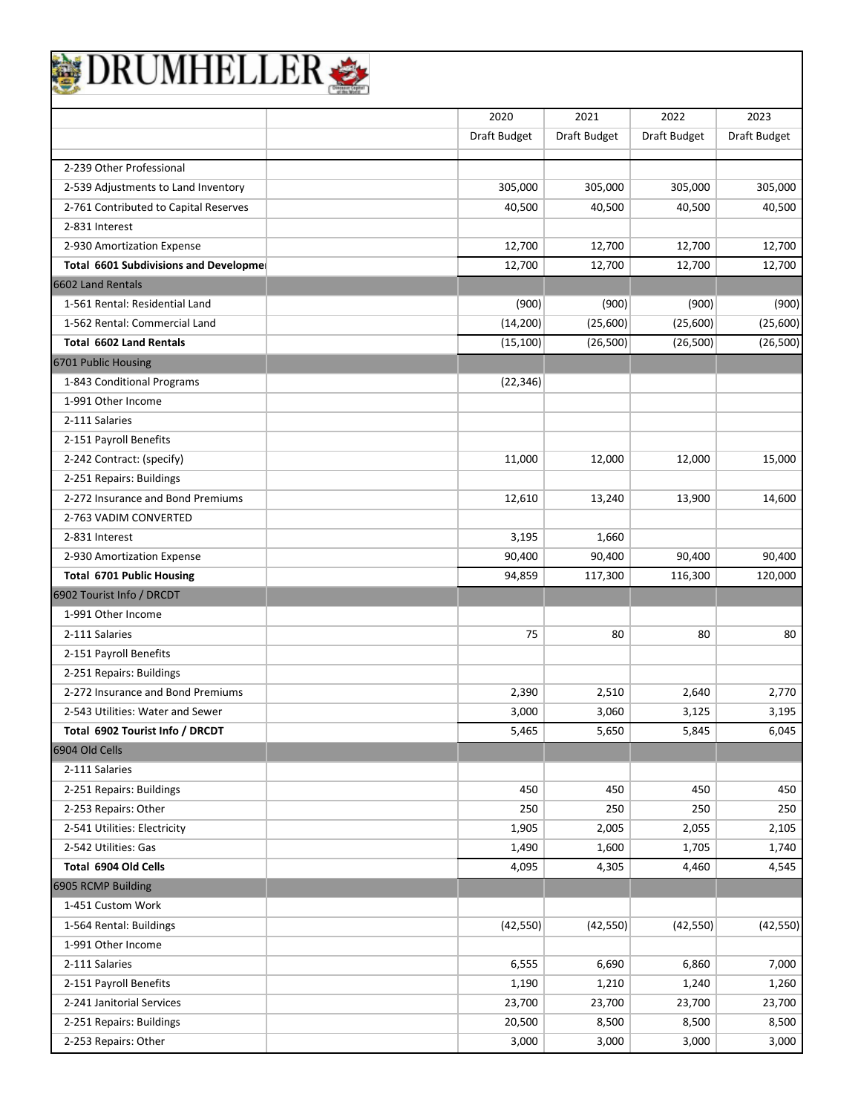| DRUMHELLER                                   |              |              |              |              |
|----------------------------------------------|--------------|--------------|--------------|--------------|
|                                              | 2020         | 2021         | 2022         | 2023         |
|                                              | Draft Budget | Draft Budget | Draft Budget | Draft Budget |
|                                              |              |              |              |              |
| 2-239 Other Professional                     |              |              |              |              |
| 2-539 Adjustments to Land Inventory          | 305,000      | 305,000      | 305,000      | 305,000      |
| 2-761 Contributed to Capital Reserves        | 40,500       | 40,500       | 40,500       | 40,500       |
| 2-831 Interest                               |              |              |              |              |
| 2-930 Amortization Expense                   | 12,700       | 12,700       | 12,700       | 12,700       |
| Total 6601 Subdivisions and Developme        | 12,700       | 12,700       | 12,700       | 12,700       |
| 6602 Land Rentals                            |              |              |              |              |
| 1-561 Rental: Residential Land               | (900)        | (900)        | (900)        | (900)        |
| 1-562 Rental: Commercial Land                | (14, 200)    | (25,600)     | (25,600)     | (25,600)     |
| <b>Total 6602 Land Rentals</b>               | (15, 100)    | (26, 500)    | (26, 500)    | (26, 500)    |
| 6701 Public Housing                          |              |              |              |              |
| 1-843 Conditional Programs                   | (22, 346)    |              |              |              |
| 1-991 Other Income                           |              |              |              |              |
| 2-111 Salaries                               |              |              |              |              |
| 2-151 Payroll Benefits                       |              |              |              |              |
| 2-242 Contract: (specify)                    | 11,000       | 12,000       | 12,000       | 15,000       |
| 2-251 Repairs: Buildings                     |              |              |              |              |
| 2-272 Insurance and Bond Premiums            | 12,610       | 13,240       | 13,900       | 14,600       |
| 2-763 VADIM CONVERTED                        |              |              |              |              |
| 2-831 Interest                               | 3,195        | 1,660        |              |              |
| 2-930 Amortization Expense                   | 90,400       | 90,400       | 90,400       | 90,400       |
| <b>Total 6701 Public Housing</b>             | 94,859       | 117,300      | 116,300      | 120,000      |
| 6902 Tourist Info / DRCDT                    |              |              |              |              |
| 1-991 Other Income                           |              |              |              |              |
| 2-111 Salaries                               | 75           | 80           | 80           | 80           |
| 2-151 Payroll Benefits                       |              |              |              |              |
| 2-251 Repairs: Buildings                     |              |              |              |              |
| 2-272 Insurance and Bond Premiums            | 2,390        | 2,510        | 2,640        | 2,770        |
| 2-543 Utilities: Water and Sewer             | 3,000        | 3,060        | 3,125        | 3,195        |
| Total 6902 Tourist Info / DRCDT              | 5,465        | 5,650        | 5,845        | 6,045        |
| 6904 Old Cells                               |              |              |              |              |
| 2-111 Salaries                               |              |              |              |              |
| 2-251 Repairs: Buildings                     | 450          | 450          | 450          | 450          |
| 2-253 Repairs: Other                         | 250          | 250          | 250          | 250          |
| 2-541 Utilities: Electricity                 | 1,905        | 2,005        | 2,055        | 2,105        |
| 2-542 Utilities: Gas                         | 1,490        | 1,600        | 1,705        | 1,740        |
|                                              |              |              |              |              |
| Total 6904 Old Cells                         | 4,095        | 4,305        | 4,460        | 4,545        |
| 6905 RCMP Building                           |              |              |              |              |
| 1-451 Custom Work<br>1-564 Rental: Buildings | (42, 550)    | (42, 550)    | (42, 550)    | (42, 550)    |
| 1-991 Other Income                           |              |              |              |              |
| 2-111 Salaries                               | 6,555        | 6,690        |              |              |
|                                              |              |              | 6,860        | 7,000        |
| 2-151 Payroll Benefits                       | 1,190        | 1,210        | 1,240        | 1,260        |
| 2-241 Janitorial Services                    | 23,700       | 23,700       | 23,700       | 23,700       |
| 2-251 Repairs: Buildings                     | 20,500       | 8,500        | 8,500        | 8,500        |
| 2-253 Repairs: Other                         | 3,000        | 3,000        | 3,000        | 3,000        |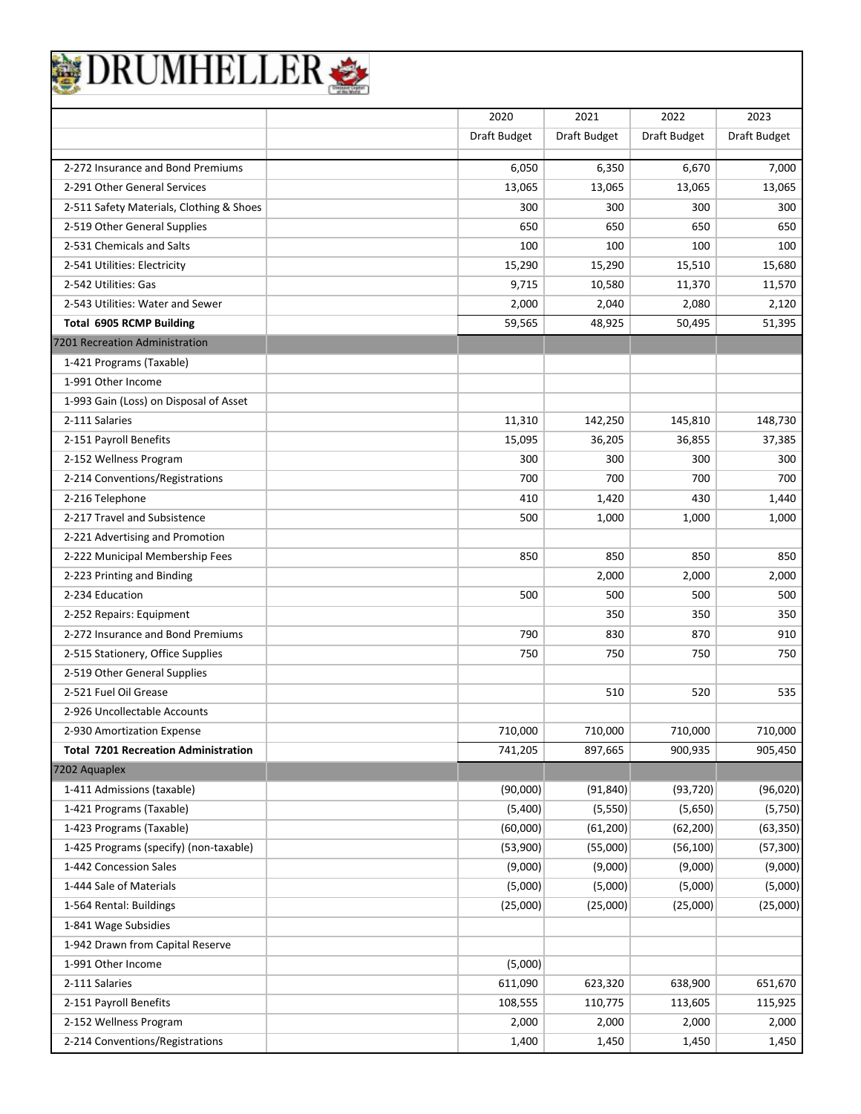| BEDRUMHELLER |
|--------------|
|--------------|

|                                                           | 2020         | 2021         | 2022         | 2023         |
|-----------------------------------------------------------|--------------|--------------|--------------|--------------|
|                                                           | Draft Budget | Draft Budget | Draft Budget | Draft Budget |
| 2-272 Insurance and Bond Premiums                         | 6,050        | 6,350        | 6,670        | 7,000        |
| 2-291 Other General Services                              | 13,065       | 13,065       | 13,065       | 13,065       |
|                                                           | 300          | 300          |              |              |
| 2-511 Safety Materials, Clothing & Shoes                  |              |              | 300          | 300          |
| 2-519 Other General Supplies<br>2-531 Chemicals and Salts | 650          | 650          | 650          | 650          |
|                                                           | 100          | 100          | 100          | 100          |
| 2-541 Utilities: Electricity                              | 15,290       | 15,290       | 15,510       | 15,680       |
| 2-542 Utilities: Gas                                      | 9,715        | 10,580       | 11,370       | 11,570       |
| 2-543 Utilities: Water and Sewer                          | 2,000        | 2,040        | 2,080        | 2,120        |
| <b>Total 6905 RCMP Building</b>                           | 59,565       | 48,925       | 50,495       | 51,395       |
| 7201 Recreation Administration                            |              |              |              |              |
| 1-421 Programs (Taxable)                                  |              |              |              |              |
| 1-991 Other Income                                        |              |              |              |              |
| 1-993 Gain (Loss) on Disposal of Asset                    |              |              |              |              |
| 2-111 Salaries                                            | 11,310       | 142,250      | 145,810      | 148,730      |
| 2-151 Payroll Benefits                                    | 15,095       | 36,205       | 36,855       | 37,385       |
| 2-152 Wellness Program                                    | 300          | 300          | 300          | 300          |
| 2-214 Conventions/Registrations                           | 700          | 700          | 700          | 700          |
| 2-216 Telephone                                           | 410          | 1,420        | 430          | 1,440        |
| 2-217 Travel and Subsistence                              | 500          | 1,000        | 1,000        | 1,000        |
| 2-221 Advertising and Promotion                           |              |              |              |              |
| 2-222 Municipal Membership Fees                           | 850          | 850          | 850          | 850          |
| 2-223 Printing and Binding                                |              | 2,000        | 2,000        | 2,000        |
| 2-234 Education                                           | 500          | 500          | 500          | 500          |
| 2-252 Repairs: Equipment                                  |              | 350          | 350          | 350          |
| 2-272 Insurance and Bond Premiums                         | 790          | 830          | 870          | 910          |
| 2-515 Stationery, Office Supplies                         | 750          | 750          | 750          | 750          |
| 2-519 Other General Supplies                              |              |              |              |              |
| 2-521 Fuel Oil Grease                                     |              | 510          | 520          | 535          |
| 2-926 Uncollectable Accounts                              |              |              |              |              |
| 2-930 Amortization Expense                                | 710,000      | 710,000      | 710,000      | 710,000      |
| <b>Total 7201 Recreation Administration</b>               | 741,205      | 897,665      | 900,935      | 905,450      |
| 7202 Aquaplex                                             |              |              |              |              |
| 1-411 Admissions (taxable)                                | (90,000)     | (91, 840)    | (93, 720)    | (96,020)     |
| 1-421 Programs (Taxable)                                  | (5,400)      | (5, 550)     | (5,650)      | (5,750)      |
| 1-423 Programs (Taxable)                                  | (60,000)     | (61, 200)    | (62, 200)    | (63, 350)    |
| 1-425 Programs (specify) (non-taxable)                    | (53,900)     | (55,000)     | (56, 100)    | (57, 300)    |
| 1-442 Concession Sales                                    | (9,000)      | (9,000)      | (9,000)      | (9,000)      |
| 1-444 Sale of Materials                                   | (5,000)      | (5,000)      | (5,000)      | (5,000)      |
| 1-564 Rental: Buildings                                   | (25,000)     | (25,000)     | (25,000)     | (25,000)     |
| 1-841 Wage Subsidies                                      |              |              |              |              |
| 1-942 Drawn from Capital Reserve                          |              |              |              |              |
| 1-991 Other Income                                        | (5,000)      |              |              |              |
| 2-111 Salaries                                            | 611,090      | 623,320      | 638,900      | 651,670      |
| 2-151 Payroll Benefits                                    | 108,555      | 110,775      | 113,605      | 115,925      |
| 2-152 Wellness Program                                    | 2,000        | 2,000        | 2,000        | 2,000        |
| 2-214 Conventions/Registrations                           | 1,400        | 1,450        | 1,450        | 1,450        |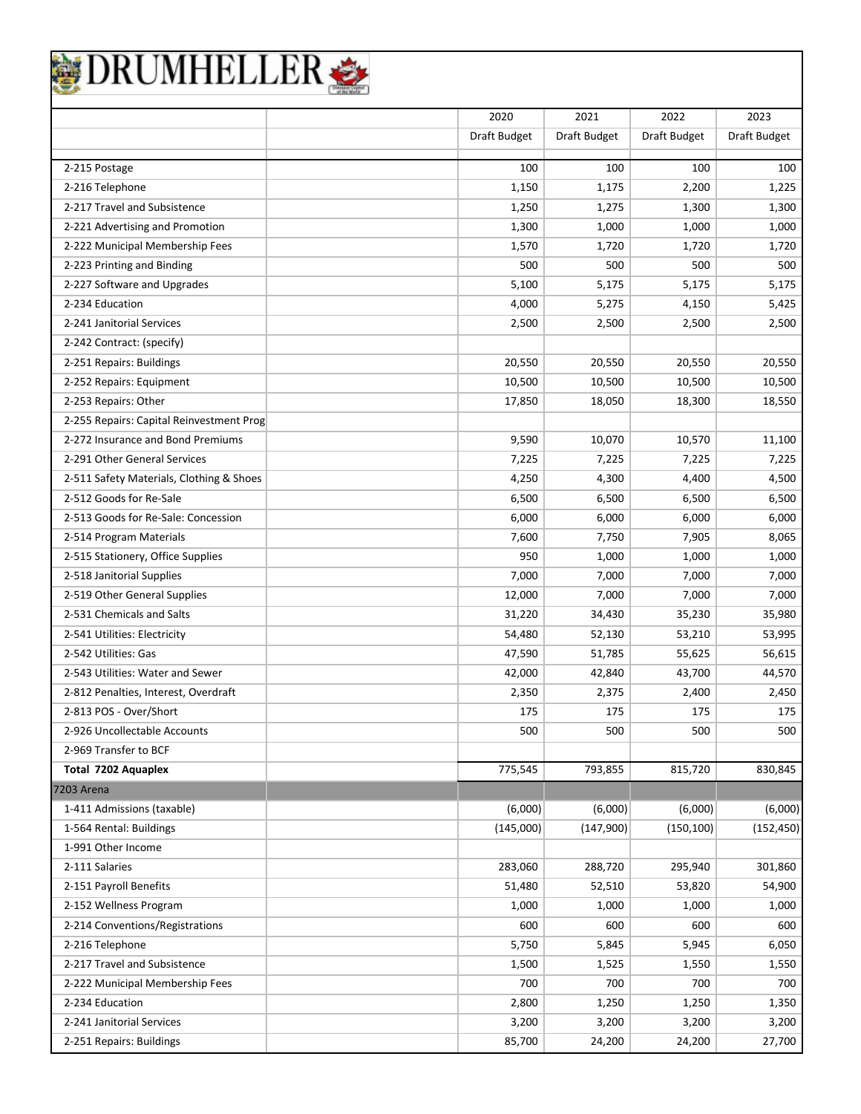|                                          | 2020         | 2021         | 2022         | 2023         |
|------------------------------------------|--------------|--------------|--------------|--------------|
|                                          | Draft Budget | Draft Budget | Draft Budget | Draft Budget |
| 2-215 Postage                            | 100          | 100          | 100          | 100          |
| 2-216 Telephone                          | 1,150        | 1,175        | 2,200        | 1,225        |
| 2-217 Travel and Subsistence             | 1,250        | 1,275        | 1,300        | 1,300        |
| 2-221 Advertising and Promotion          | 1,300        | 1,000        | 1,000        | 1,000        |
| 2-222 Municipal Membership Fees          | 1,570        | 1,720        | 1,720        | 1,720        |
| 2-223 Printing and Binding               | 500          | 500          | 500          | 500          |
| 2-227 Software and Upgrades              | 5,100        | 5,175        | 5,175        | 5,175        |
| 2-234 Education                          | 4,000        | 5,275        | 4,150        | 5,425        |
| 2-241 Janitorial Services                | 2,500        | 2,500        | 2,500        | 2,500        |
| 2-242 Contract: (specify)                |              |              |              |              |
| 2-251 Repairs: Buildings                 | 20,550       | 20,550       | 20,550       | 20,550       |
| 2-252 Repairs: Equipment                 | 10,500       | 10,500       | 10,500       | 10,500       |
| 2-253 Repairs: Other                     | 17,850       | 18,050       | 18,300       | 18,550       |
| 2-255 Repairs: Capital Reinvestment Prog |              |              |              |              |
| 2-272 Insurance and Bond Premiums        | 9,590        | 10,070       | 10,570       | 11,100       |
| 2-291 Other General Services             | 7,225        | 7,225        | 7,225        | 7,225        |
| 2-511 Safety Materials, Clothing & Shoes | 4,250        | 4,300        | 4,400        | 4,500        |
| 2-512 Goods for Re-Sale                  | 6,500        | 6,500        | 6,500        | 6,500        |
| 2-513 Goods for Re-Sale: Concession      | 6,000        | 6,000        | 6,000        | 6,000        |
| 2-514 Program Materials                  | 7,600        | 7,750        | 7,905        | 8,065        |
| 2-515 Stationery, Office Supplies        | 950          | 1,000        | 1,000        | 1,000        |
| 2-518 Janitorial Supplies                | 7,000        | 7,000        | 7,000        | 7,000        |
| 2-519 Other General Supplies             | 12,000       | 7,000        | 7,000        | 7,000        |
| 2-531 Chemicals and Salts                | 31,220       | 34,430       | 35,230       | 35,980       |
| 2-541 Utilities: Electricity             | 54,480       | 52,130       | 53,210       | 53,995       |
| 2-542 Utilities: Gas                     | 47,590       | 51,785       | 55,625       | 56,615       |
| 2-543 Utilities: Water and Sewer         | 42,000       | 42,840       | 43,700       | 44,570       |
| 2-812 Penalties, Interest, Overdraft     | 2,350        | 2,375        | 2,400        | 2,450        |
| 2-813 POS - Over/Short                   | 175          | 175          | 175          | 175          |
| 2-926 Uncollectable Accounts             | 500          | 500          | 500          | 500          |
| 2-969 Transfer to BCF                    |              |              |              |              |
| Total 7202 Aquaplex                      | 775,545      | 793,855      | 815,720      | 830,845      |
| 7203 Arena                               |              |              |              |              |
| 1-411 Admissions (taxable)               | (6,000)      | (6,000)      | (6,000)      | (6,000)      |
| 1-564 Rental: Buildings                  | (145,000)    | (147,900)    | (150, 100)   | (152, 450)   |
| 1-991 Other Income                       |              |              |              |              |
| 2-111 Salaries                           | 283,060      | 288,720      | 295,940      | 301,860      |
| 2-151 Payroll Benefits                   | 51,480       | 52,510       | 53,820       | 54,900       |
| 2-152 Wellness Program                   | 1,000        | 1,000        | 1,000        | 1,000        |
| 2-214 Conventions/Registrations          | 600          | 600          | 600          | 600          |
| 2-216 Telephone                          | 5,750        | 5,845        | 5,945        | 6,050        |
| 2-217 Travel and Subsistence             | 1,500        | 1,525        | 1,550        | 1,550        |
| 2-222 Municipal Membership Fees          | 700          | 700          | 700          | 700          |
| 2-234 Education                          | 2,800        | 1,250        | 1,250        | 1,350        |
| 2-241 Janitorial Services                | 3,200        | 3,200        | 3,200        | 3,200        |
| 2-251 Repairs: Buildings                 | 85,700       | 24,200       | 24,200       | 27,700       |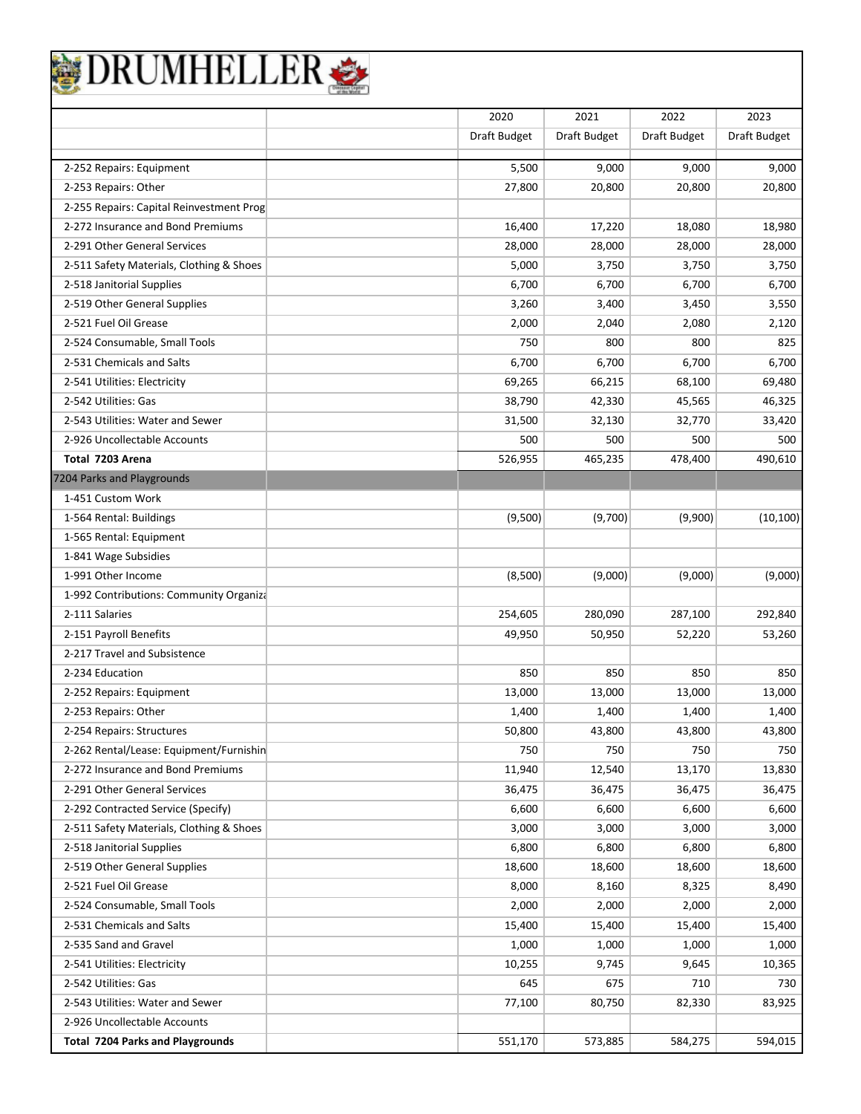| <b>RUMHELI</b>                           |                |              |                |                |
|------------------------------------------|----------------|--------------|----------------|----------------|
|                                          | 2020           | 2021         | 2022           | 2023           |
|                                          | Draft Budget   | Draft Budget | Draft Budget   | Draft Budget   |
| 2-252 Repairs: Equipment                 | 5,500          | 9,000        | 9,000          | 9,000          |
| 2-253 Repairs: Other                     | 27,800         | 20,800       | 20,800         | 20,800         |
| 2-255 Repairs: Capital Reinvestment Prog |                |              |                |                |
| 2-272 Insurance and Bond Premiums        | 16,400         | 17,220       | 18,080         | 18,980         |
| 2-291 Other General Services             | 28,000         | 28,000       | 28,000         | 28,000         |
| 2-511 Safety Materials, Clothing & Shoes | 5,000          | 3,750        | 3,750          | 3,750          |
| 2-518 Janitorial Supplies                | 6,700          | 6,700        | 6,700          | 6,700          |
| 2-519 Other General Supplies             |                |              |                |                |
| 2-521 Fuel Oil Grease                    | 3,260<br>2,000 | 3,400        | 3,450<br>2,080 | 3,550<br>2,120 |
| 2-524 Consumable, Small Tools            | 750            | 2,040<br>800 | 800            | 825            |
| 2-531 Chemicals and Salts                | 6,700          | 6,700        | 6,700          | 6,700          |
| 2-541 Utilities: Electricity             | 69,265         | 66,215       | 68,100         | 69,480         |
| 2-542 Utilities: Gas                     | 38,790         | 42,330       | 45,565         | 46,325         |
| 2-543 Utilities: Water and Sewer         | 31,500         | 32,130       | 32,770         | 33,420         |
| 2-926 Uncollectable Accounts             | 500            | 500          | 500            | 500            |
| Total 7203 Arena                         | 526,955        | 465,235      | 478,400        | 490,610        |
| 7204 Parks and Playgrounds               |                |              |                |                |
| 1-451 Custom Work                        |                |              |                |                |
| 1-564 Rental: Buildings                  | (9,500)        | (9,700)      | (9,900)        | (10, 100)      |
| 1-565 Rental: Equipment                  |                |              |                |                |
| 1-841 Wage Subsidies                     |                |              |                |                |
| 1-991 Other Income                       | (8,500)        | (9,000)      | (9,000)        | (9,000)        |
| 1-992 Contributions: Community Organiza  |                |              |                |                |
| 2-111 Salaries                           | 254,605        | 280,090      | 287,100        | 292,840        |
| 2-151 Payroll Benefits                   | 49,950         | 50,950       | 52,220         | 53,260         |
| 2-217 Travel and Subsistence             |                |              |                |                |
| 2-234 Education                          | 850            | 850          | 850            | 850            |
| 2-252 Repairs: Equipment                 | 13,000         | 13,000       | 13,000         | 13,000         |
| 2-253 Repairs: Other                     | 1,400          | 1,400        | 1,400          | 1,400          |
| 2-254 Repairs: Structures                | 50,800         | 43,800       | 43,800         | 43,800         |
| 2-262 Rental/Lease: Equipment/Furnishin  | 750            | 750          | 750            | 750            |
| 2-272 Insurance and Bond Premiums        | 11,940         | 12,540       | 13,170         | 13,830         |
| 2-291 Other General Services             | 36,475         | 36,475       | 36,475         | 36,475         |
| 2-292 Contracted Service (Specify)       | 6,600          | 6,600        | 6,600          | 6,600          |
| 2-511 Safety Materials, Clothing & Shoes | 3,000          | 3,000        | 3,000          | 3,000          |
| 2-518 Janitorial Supplies                | 6,800          | 6,800        | 6,800          | 6,800          |
| 2-519 Other General Supplies             | 18,600         | 18,600       | 18,600         | 18,600         |
| 2-521 Fuel Oil Grease                    | 8,000          | 8,160        | 8,325          | 8,490          |
| 2-524 Consumable, Small Tools            | 2,000          | 2,000        | 2,000          | 2,000          |
| 2-531 Chemicals and Salts                | 15,400         | 15,400       | 15,400         | 15,400         |
| 2-535 Sand and Gravel                    | 1,000          | 1,000        | 1,000          | 1,000          |
| 2-541 Utilities: Electricity             | 10,255         | 9,745        | 9,645          | 10,365         |
| 2-542 Utilities: Gas                     | 645            | 675          | 710            | 730            |
| 2-543 Utilities: Water and Sewer         | 77,100         | 80,750       | 82,330         | 83,925         |
| 2-926 Uncollectable Accounts             |                |              |                |                |
| <b>Total 7204 Parks and Playgrounds</b>  | 551,170        | 573,885      | 584,275        | 594,015        |
|                                          |                |              |                |                |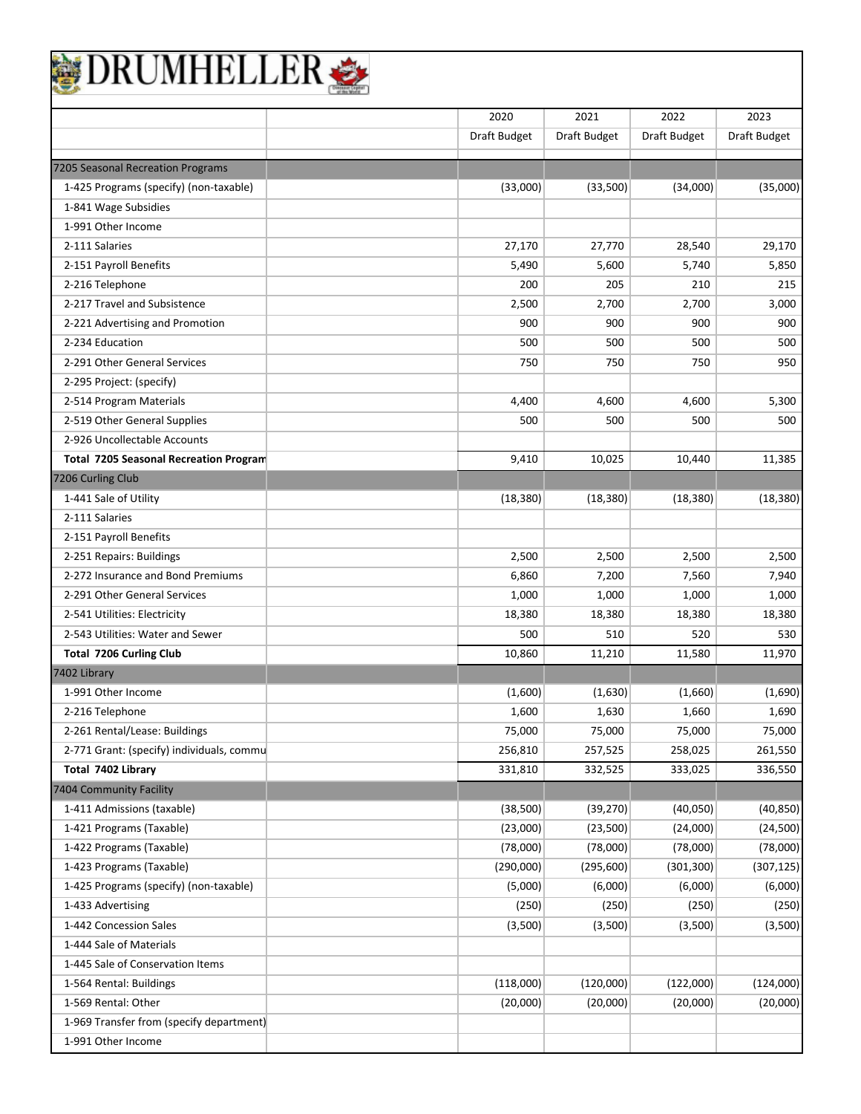| BRUMHELLER |
|------------|
|------------|

|                                               | 2020         | 2021         | 2022         | 2023         |
|-----------------------------------------------|--------------|--------------|--------------|--------------|
|                                               | Draft Budget | Draft Budget | Draft Budget | Draft Budget |
|                                               |              |              |              |              |
| 7205 Seasonal Recreation Programs             |              |              |              |              |
| 1-425 Programs (specify) (non-taxable)        | (33,000)     | (33,500)     | (34,000)     | (35,000)     |
| 1-841 Wage Subsidies                          |              |              |              |              |
| 1-991 Other Income                            |              |              |              |              |
| 2-111 Salaries                                | 27,170       | 27,770       | 28,540       | 29,170       |
| 2-151 Payroll Benefits                        | 5,490        | 5,600        | 5,740        | 5,850        |
| 2-216 Telephone                               | 200          | 205          | 210          | 215          |
| 2-217 Travel and Subsistence                  | 2,500        | 2,700        | 2,700        | 3,000        |
| 2-221 Advertising and Promotion               | 900          | 900          | 900          | 900          |
| 2-234 Education                               | 500          | 500          | 500          | 500          |
| 2-291 Other General Services                  | 750          | 750          | 750          | 950          |
| 2-295 Project: (specify)                      |              |              |              |              |
| 2-514 Program Materials                       | 4,400        | 4,600        | 4,600        | 5,300        |
| 2-519 Other General Supplies                  | 500          | 500          | 500          | 500          |
| 2-926 Uncollectable Accounts                  |              |              |              |              |
| <b>Total 7205 Seasonal Recreation Program</b> | 9,410        | 10,025       | 10.440       | 11,385       |
| 7206 Curling Club                             |              |              |              |              |
| 1-441 Sale of Utility                         | (18, 380)    | (18, 380)    | (18, 380)    | (18, 380)    |
| 2-111 Salaries                                |              |              |              |              |
| 2-151 Payroll Benefits                        |              |              |              |              |
| 2-251 Repairs: Buildings                      | 2,500        | 2,500        | 2,500        | 2,500        |
| 2-272 Insurance and Bond Premiums             | 6,860        | 7,200        | 7,560        | 7,940        |
| 2-291 Other General Services                  | 1,000        | 1,000        | 1,000        | 1,000        |
| 2-541 Utilities: Electricity                  | 18,380       | 18,380       | 18,380       | 18,380       |
| 2-543 Utilities: Water and Sewer              | 500          | 510          | 520          | 530          |
| Total 7206 Curling Club                       | 10,860       | 11,210       | 11,580       | 11,970       |
| 7402 Library                                  |              |              |              |              |
| 1-991 Other Income                            | (1,600)      | (1,630)      | (1,660)      | (1,690)      |
| 2-216 Telephone                               | 1,600        | 1,630        | 1,660        | 1,690        |
| 2-261 Rental/Lease: Buildings                 | 75,000       | 75,000       | 75,000       | 75,000       |
| 2-771 Grant: (specify) individuals, commu     | 256,810      | 257,525      | 258,025      | 261,550      |
| Total 7402 Library                            | 331,810      | 332,525      | 333,025      | 336,550      |
| 7404 Community Facility                       |              |              |              |              |
| 1-411 Admissions (taxable)                    | (38, 500)    | (39, 270)    | (40,050)     | (40, 850)    |
| 1-421 Programs (Taxable)                      | (23,000)     | (23,500)     | (24,000)     | (24, 500)    |
| 1-422 Programs (Taxable)                      | (78,000)     | (78,000)     | (78,000)     | (78,000)     |
| 1-423 Programs (Taxable)                      | (290,000)    | (295, 600)   | (301, 300)   | (307, 125)   |
| 1-425 Programs (specify) (non-taxable)        | (5,000)      | (6,000)      | (6,000)      | (6,000)      |
| 1-433 Advertising                             | (250)        | (250)        | (250)        | (250)        |
| 1-442 Concession Sales                        | (3,500)      | (3,500)      | (3,500)      | (3,500)      |
| 1-444 Sale of Materials                       |              |              |              |              |
| 1-445 Sale of Conservation Items              |              |              |              |              |
| 1-564 Rental: Buildings                       | (118,000)    | (120,000)    | (122,000)    | (124,000)    |
| 1-569 Rental: Other                           | (20,000)     | (20,000)     | (20,000)     | (20,000)     |
| 1-969 Transfer from (specify department)      |              |              |              |              |
|                                               |              |              |              |              |
| 1-991 Other Income                            |              |              |              |              |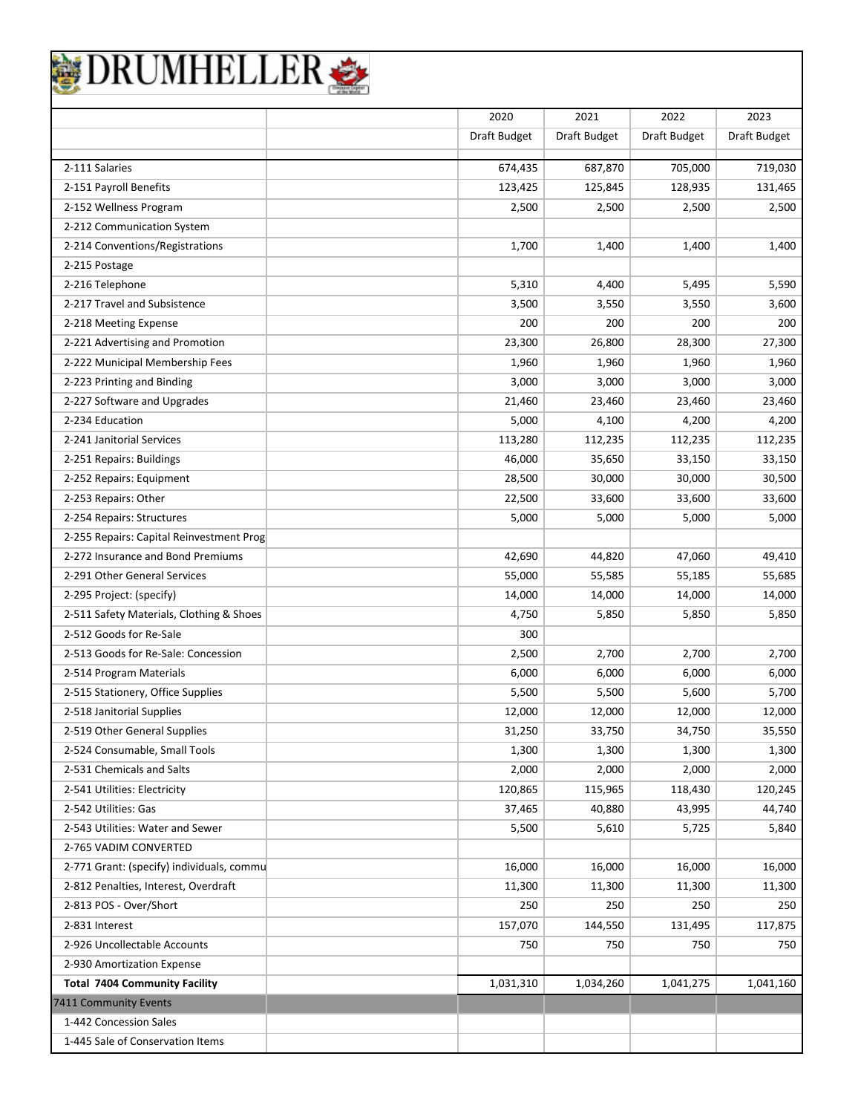|                                           | 2020         | 2021         | 2022         | 2023           |
|-------------------------------------------|--------------|--------------|--------------|----------------|
|                                           | Draft Budget | Draft Budget | Draft Budget | Draft Budget   |
| 2-111 Salaries                            | 674,435      | 687,870      | 705,000      | 719,030        |
| 2-151 Payroll Benefits                    | 123,425      | 125,845      | 128,935      | 131,465        |
| 2-152 Wellness Program                    | 2,500        | 2,500        | 2,500        | 2,500          |
| 2-212 Communication System                |              |              |              |                |
| 2-214 Conventions/Registrations           | 1,700        | 1,400        | 1,400        | 1,400          |
| 2-215 Postage                             |              |              |              |                |
| 2-216 Telephone                           | 5,310        | 4,400        | 5,495        | 5,590          |
| 2-217 Travel and Subsistence              | 3,500        | 3,550        | 3,550        | 3,600          |
| 2-218 Meeting Expense                     | 200          | 200          | 200          | 200            |
| 2-221 Advertising and Promotion           | 23,300       | 26,800       | 28,300       | 27,300         |
| 2-222 Municipal Membership Fees           | 1,960        | 1,960        | 1,960        |                |
| 2-223 Printing and Binding                | 3,000        | 3,000        | 3,000        | 1,960<br>3,000 |
|                                           |              |              |              |                |
| 2-227 Software and Upgrades               | 21,460       | 23,460       | 23,460       | 23,460         |
| 2-234 Education                           | 5,000        | 4,100        | 4,200        | 4,200          |
| 2-241 Janitorial Services                 | 113,280      | 112,235      | 112,235      | 112,235        |
| 2-251 Repairs: Buildings                  | 46,000       | 35,650       | 33,150       | 33,150         |
| 2-252 Repairs: Equipment                  | 28,500       | 30,000       | 30,000       | 30,500         |
| 2-253 Repairs: Other                      | 22,500       | 33,600       | 33,600       | 33,600         |
| 2-254 Repairs: Structures                 | 5,000        | 5,000        | 5,000        | 5,000          |
| 2-255 Repairs: Capital Reinvestment Prog  |              |              |              |                |
| 2-272 Insurance and Bond Premiums         | 42,690       | 44,820       | 47,060       | 49,410         |
| 2-291 Other General Services              | 55,000       | 55,585       | 55,185       | 55,685         |
| 2-295 Project: (specify)                  | 14,000       | 14,000       | 14,000       | 14,000         |
| 2-511 Safety Materials, Clothing & Shoes  | 4,750        | 5,850        | 5,850        | 5,850          |
| 2-512 Goods for Re-Sale                   | 300          |              |              |                |
| 2-513 Goods for Re-Sale: Concession       | 2,500        | 2,700        | 2,700        | 2,700          |
| 2-514 Program Materials                   | 6,000        | 6,000        | 6,000        | 6,000          |
| 2-515 Stationery, Office Supplies         | 5,500        | 5,500        | 5,600        | 5,700          |
| 2-518 Janitorial Supplies                 | 12,000       | 12,000       | 12,000       | 12,000         |
| 2-519 Other General Supplies              | 31,250       | 33,750       | 34,750       | 35,550         |
| 2-524 Consumable, Small Tools             | 1,300        | 1,300        | 1,300        | 1,300          |
| 2-531 Chemicals and Salts                 | 2,000        | 2,000        | 2,000        | 2,000          |
| 2-541 Utilities: Electricity              | 120,865      | 115,965      | 118,430      | 120,245        |
| 2-542 Utilities: Gas                      | 37,465       | 40,880       | 43,995       | 44,740         |
| 2-543 Utilities: Water and Sewer          | 5,500        | 5,610        | 5,725        | 5,840          |
| 2-765 VADIM CONVERTED                     |              |              |              |                |
| 2-771 Grant: (specify) individuals, commu | 16,000       | 16,000       | 16,000       | 16,000         |
| 2-812 Penalties, Interest, Overdraft      | 11,300       | 11,300       | 11,300       | 11,300         |
| 2-813 POS - Over/Short                    | 250          | 250          | 250          | 250            |
| 2-831 Interest                            | 157,070      | 144,550      | 131,495      | 117,875        |
| 2-926 Uncollectable Accounts              | 750          | 750          | 750          | 750            |
| 2-930 Amortization Expense                |              |              |              |                |
| <b>Total 7404 Community Facility</b>      | 1,031,310    | 1,034,260    | 1,041,275    | 1,041,160      |
| 7411 Community Events                     |              |              |              |                |
| 1-442 Concession Sales                    |              |              |              |                |
| 1-445 Sale of Conservation Items          |              |              |              |                |